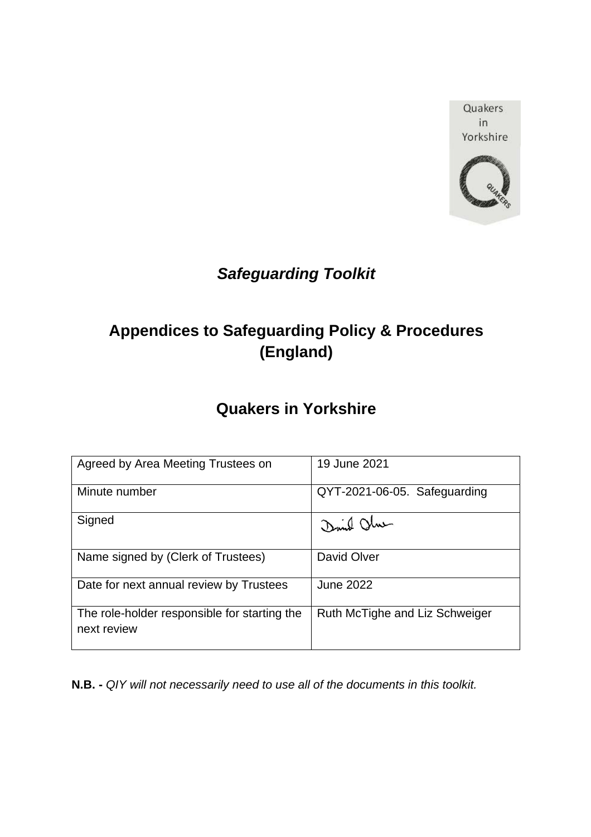



# *Safeguarding Toolkit*

# **Appendices to Safeguarding Policy & Procedures (England)**

# **Quakers in Yorkshire**

| Agreed by Area Meeting Trustees on                          | 19 June 2021                   |
|-------------------------------------------------------------|--------------------------------|
| Minute number                                               | QYT-2021-06-05. Safeguarding   |
| Signed                                                      | David Ohne                     |
| Name signed by (Clerk of Trustees)                          | David Olver                    |
| Date for next annual review by Trustees                     | <b>June 2022</b>               |
| The role-holder responsible for starting the<br>next review | Ruth McTighe and Liz Schweiger |

**N.B. -** *QIY will not necessarily need to use all of the documents in this toolkit.*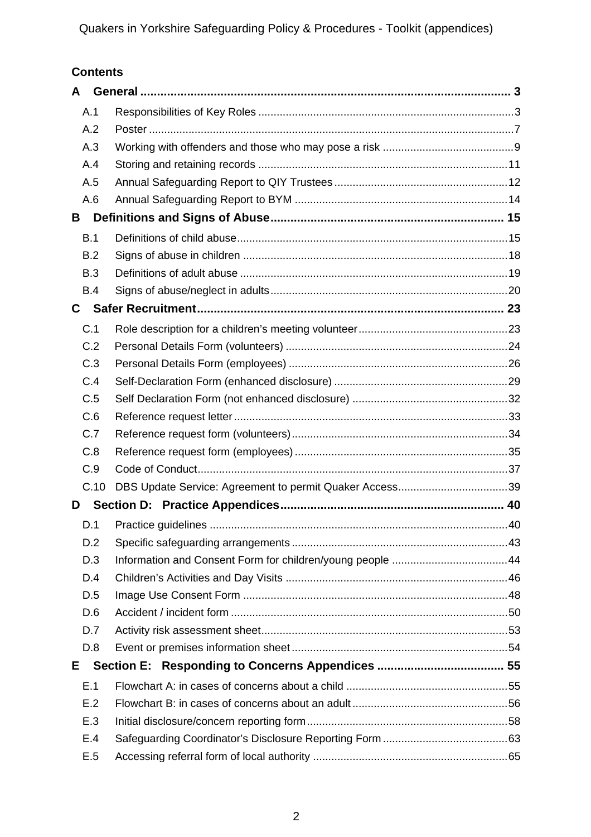# **Contents**

| A    |  |
|------|--|
| A.1  |  |
| A.2  |  |
| A.3  |  |
| A.4  |  |
| A.5  |  |
| A.6  |  |
| В    |  |
| B.1  |  |
| B.2  |  |
| B.3  |  |
| B.4  |  |
| C.   |  |
| C.1  |  |
| C.2  |  |
| C.3  |  |
| C.4  |  |
| C.5  |  |
| C.6  |  |
| C.7  |  |
| C.8  |  |
| C.9  |  |
| C.10 |  |
| D    |  |
| D.1  |  |
| D.2  |  |
| D.3  |  |
| D.4  |  |
| D.5  |  |
| D.6  |  |
| D.7  |  |
| D.8  |  |
| E.   |  |
| E.1  |  |
| E.2  |  |
| E.3  |  |
| E.4  |  |
| E.5  |  |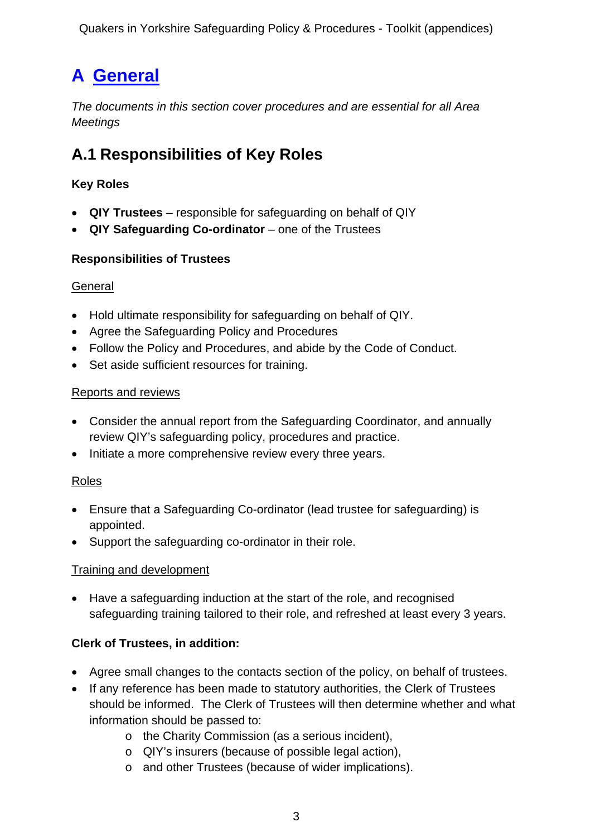# **A General**

*The documents in this section cover procedures and are essential for all Area Meetings* 

# **A.1 Responsibilities of Key Roles**

# **Key Roles**

- **QIY Trustees** responsible for safeguarding on behalf of QIY
- **QIY Safeguarding Co-ordinator** one of the Trustees

## **Responsibilities of Trustees**

## **General**

- Hold ultimate responsibility for safeguarding on behalf of QIY.
- Agree the Safeguarding Policy and Procedures
- Follow the Policy and Procedures, and abide by the Code of Conduct.
- Set aside sufficient resources for training.

## Reports and reviews

- Consider the annual report from the Safeguarding Coordinator, and annually review QIY's safeguarding policy, procedures and practice.
- Initiate a more comprehensive review every three years.

# Roles

- Ensure that a Safeguarding Co-ordinator (lead trustee for safeguarding) is appointed.
- Support the safeguarding co-ordinator in their role.

# Training and development

• Have a safeguarding induction at the start of the role, and recognised safeguarding training tailored to their role, and refreshed at least every 3 years.

# **Clerk of Trustees, in addition:**

- Agree small changes to the contacts section of the policy, on behalf of trustees.
- If any reference has been made to statutory authorities, the Clerk of Trustees should be informed. The Clerk of Trustees will then determine whether and what information should be passed to:
	- o the Charity Commission (as a serious incident),
	- o QIY's insurers (because of possible legal action),
	- o and other Trustees (because of wider implications).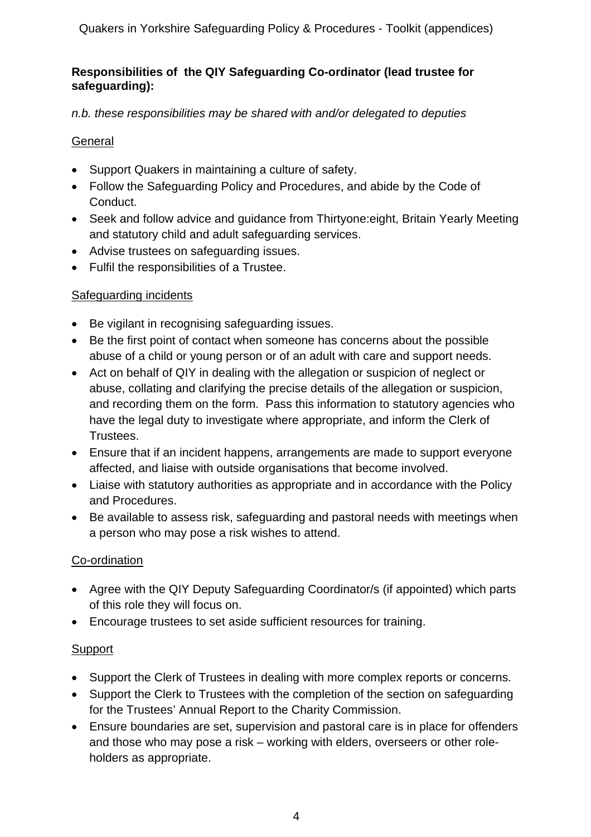## **Responsibilities of the QIY Safeguarding Co-ordinator (lead trustee for safeguarding):**

*n.b. these responsibilities may be shared with and/or delegated to deputies* 

#### **General**

- Support Quakers in maintaining a culture of safety.
- Follow the Safeguarding Policy and Procedures, and abide by the Code of Conduct.
- Seek and follow advice and guidance from Thirtyone: eight, Britain Yearly Meeting and statutory child and adult safeguarding services.
- Advise trustees on safeguarding issues.
- Fulfil the responsibilities of a Trustee.

## Safeguarding incidents

- Be vigilant in recognising safeguarding issues.
- Be the first point of contact when someone has concerns about the possible abuse of a child or young person or of an adult with care and support needs.
- Act on behalf of QIY in dealing with the allegation or suspicion of neglect or abuse, collating and clarifying the precise details of the allegation or suspicion, and recording them on the form. Pass this information to statutory agencies who have the legal duty to investigate where appropriate, and inform the Clerk of Trustees.
- Ensure that if an incident happens, arrangements are made to support everyone affected, and liaise with outside organisations that become involved.
- Liaise with statutory authorities as appropriate and in accordance with the Policy and Procedures.
- Be available to assess risk, safeguarding and pastoral needs with meetings when a person who may pose a risk wishes to attend.

## Co-ordination

- Agree with the QIY Deputy Safeguarding Coordinator/s (if appointed) which parts of this role they will focus on.
- Encourage trustees to set aside sufficient resources for training.

## **Support**

- Support the Clerk of Trustees in dealing with more complex reports or concerns.
- Support the Clerk to Trustees with the completion of the section on safeguarding for the Trustees' Annual Report to the Charity Commission.
- Ensure boundaries are set, supervision and pastoral care is in place for offenders and those who may pose a risk – working with elders, overseers or other roleholders as appropriate.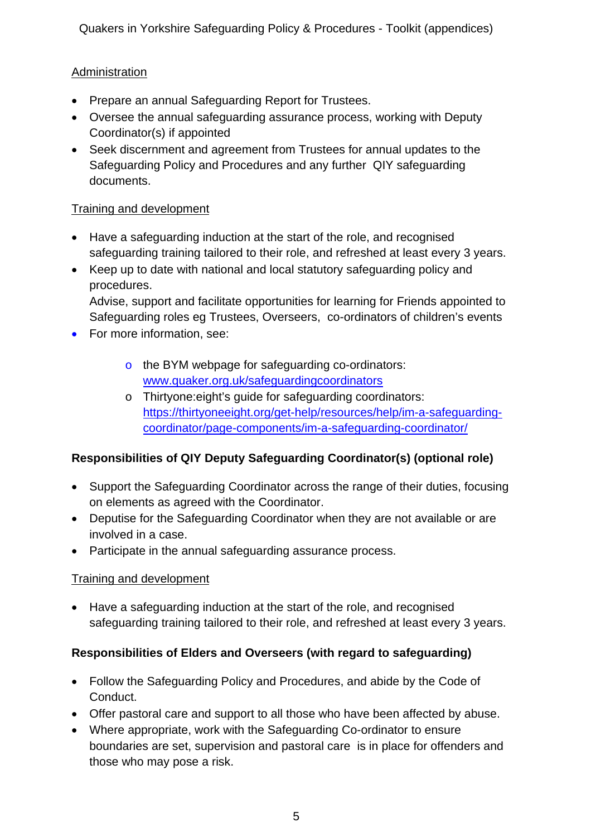# Administration

- Prepare an annual Safeguarding Report for Trustees.
- Oversee the annual safeguarding assurance process, working with Deputy Coordinator(s) if appointed
- Seek discernment and agreement from Trustees for annual updates to the Safeguarding Policy and Procedures and any further QIY safeguarding documents.

## Training and development

- Have a safeguarding induction at the start of the role, and recognised safeguarding training tailored to their role, and refreshed at least every 3 years.
- Keep up to date with national and local statutory safeguarding policy and procedures. Advise, support and facilitate opportunities for learning for Friends appointed to

Safeguarding roles eg Trustees, Overseers, co-ordinators of children's events

- For more information, see:
	- o the BYM webpage for safeguarding co-ordinators: www.quaker.org.uk/safeguardingcoordinators
	- o Thirtyone:eight's guide for safeguarding coordinators: https://thirtyoneeight.org/get-help/resources/help/im-a-safeguardingcoordinator/page-components/im-a-safeguarding-coordinator/

# **Responsibilities of QIY Deputy Safeguarding Coordinator(s) (optional role)**

- Support the Safeguarding Coordinator across the range of their duties, focusing on elements as agreed with the Coordinator.
- Deputise for the Safeguarding Coordinator when they are not available or are involved in a case.
- Participate in the annual safeguarding assurance process.

# Training and development

 Have a safeguarding induction at the start of the role, and recognised safeguarding training tailored to their role, and refreshed at least every 3 years.

# **Responsibilities of Elders and Overseers (with regard to safeguarding)**

- Follow the Safeguarding Policy and Procedures, and abide by the Code of Conduct.
- Offer pastoral care and support to all those who have been affected by abuse.
- Where appropriate, work with the Safeguarding Co-ordinator to ensure boundaries are set, supervision and pastoral care is in place for offenders and those who may pose a risk.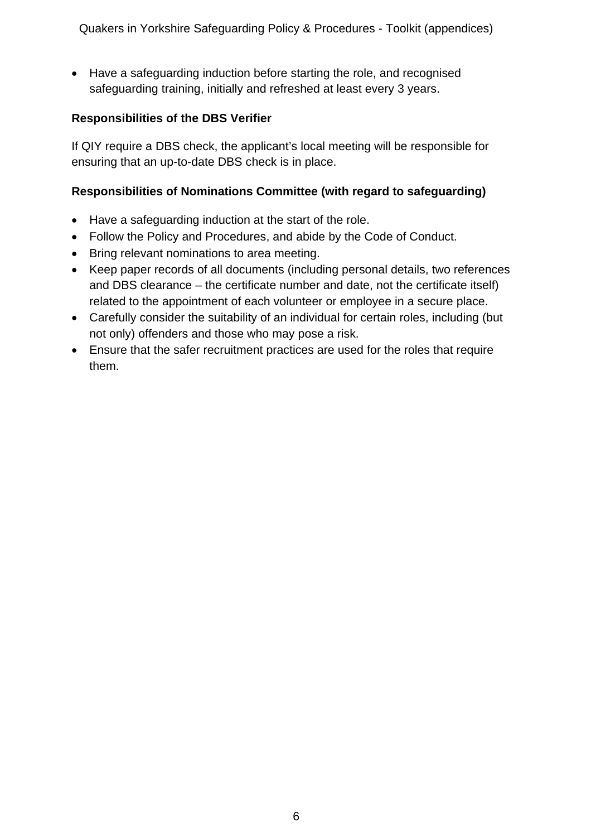Have a safeguarding induction before starting the role, and recognised safeguarding training, initially and refreshed at least every 3 years.

## **Responsibilities of the DBS Verifier**

If QIY require a DBS check, the applicant's local meeting will be responsible for ensuring that an up-to-date DBS check is in place.

## **Responsibilities of Nominations Committee (with regard to safeguarding)**

- Have a safeguarding induction at the start of the role.
- Follow the Policy and Procedures, and abide by the Code of Conduct.
- Bring relevant nominations to area meeting.
- Keep paper records of all documents (including personal details, two references and DBS clearance – the certificate number and date, not the certificate itself) related to the appointment of each volunteer or employee in a secure place.
- Carefully consider the suitability of an individual for certain roles, including (but not only) offenders and those who may pose a risk.
- Ensure that the safer recruitment practices are used for the roles that require them.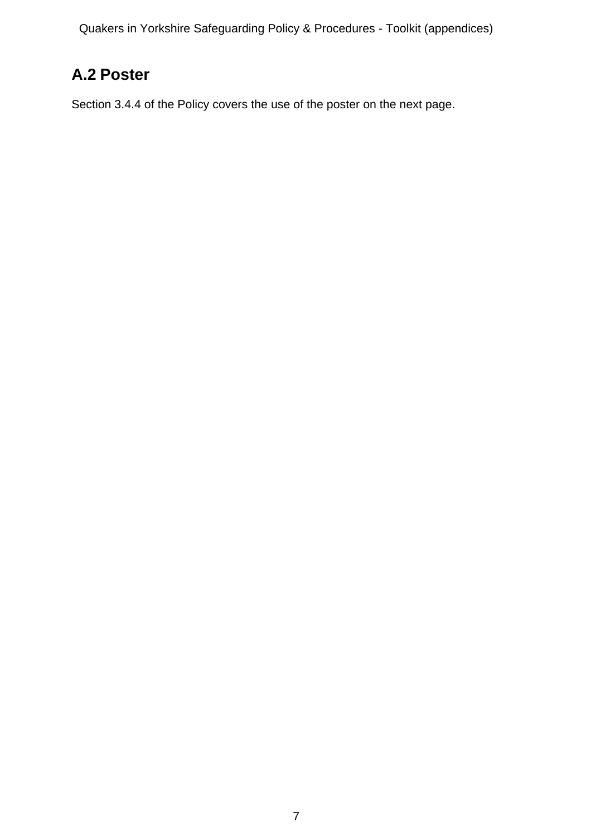# **A.2 Poster**

Section 3.4.4 of the Policy covers the use of the poster on the next page.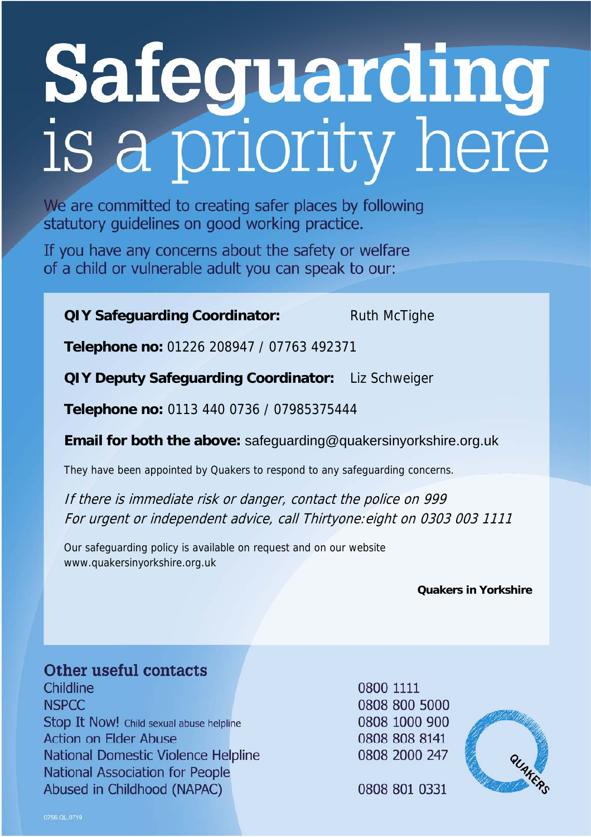# . j

We are committed to creating safer places by following statutory quidelines on good working practice.

If you have any concerns about the safety or welfare of a child or vulnerable adult you can speak to our:

**QIY Safeguarding Coordinator:** Ruth McTighe

**Telephone no:** 01226 208947 / 07763 492371

**QIY Deputy Safeguarding Coordinator:** Liz Schweiger

**Telephone no:** 0113 440 0736 / 07985375444

**Email for both the above:** safeguarding@quakersinyorkshire.org.uk

They have been appointed by Quakers to respond to any safeguarding concerns.

If there is immediate risk or danger, contact the police on 999 For urgent or independent advice, call Thirtyone:eight on 0303 003 1111

Our safeguarding policy is available on request and on our website www.quakersinyorkshire.org.uk

**Quakers in Yorkshire** 

Other useful contacts Childline **NSPCC** Stop It Now! Child sexual abuse helpline **Action on Elder Abuse** National Domestic Violence Helpline **National Association for People** Abused in Childhood (NAPAC)

0800 1111 0808 800 5000 0808 1000 900 0808 808 8141 0808 2000 247



0808 801 0331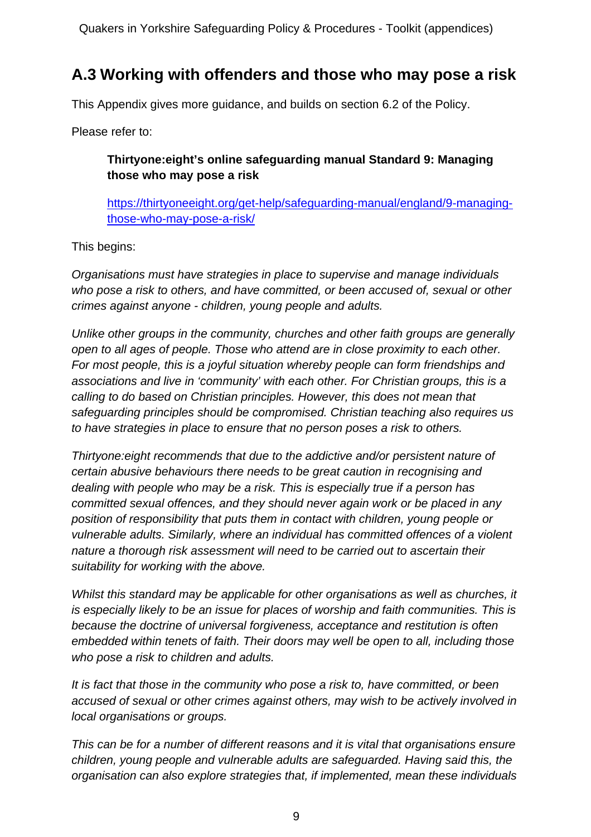# **A.3 Working with offenders and those who may pose a risk**

This Appendix gives more guidance, and builds on section 6.2 of the Policy.

Please refer to:

## **Thirtyone:eight's online safeguarding manual Standard 9: Managing those who may pose a risk**

https://thirtyoneeight.org/get-help/safeguarding-manual/england/9-managingthose-who-may-pose-a-risk/

This begins:

*Organisations must have strategies in place to supervise and manage individuals who pose a risk to others, and have committed, or been accused of, sexual or other crimes against anyone - children, young people and adults.* 

*Unlike other groups in the community, churches and other faith groups are generally open to all ages of people. Those who attend are in close proximity to each other. For most people, this is a joyful situation whereby people can form friendships and associations and live in 'community' with each other. For Christian groups, this is a calling to do based on Christian principles. However, this does not mean that safeguarding principles should be compromised. Christian teaching also requires us to have strategies in place to ensure that no person poses a risk to others.* 

*Thirtyone:eight recommends that due to the addictive and/or persistent nature of certain abusive behaviours there needs to be great caution in recognising and dealing with people who may be a risk. This is especially true if a person has committed sexual offences, and they should never again work or be placed in any position of responsibility that puts them in contact with children, young people or vulnerable adults. Similarly, where an individual has committed offences of a violent nature a thorough risk assessment will need to be carried out to ascertain their suitability for working with the above.* 

*Whilst this standard may be applicable for other organisations as well as churches, it is especially likely to be an issue for places of worship and faith communities. This is because the doctrine of universal forgiveness, acceptance and restitution is often embedded within tenets of faith. Their doors may well be open to all, including those who pose a risk to children and adults.* 

*It is fact that those in the community who pose a risk to, have committed, or been accused of sexual or other crimes against others, may wish to be actively involved in local organisations or groups.* 

*This can be for a number of different reasons and it is vital that organisations ensure children, young people and vulnerable adults are safeguarded. Having said this, the organisation can also explore strategies that, if implemented, mean these individuals*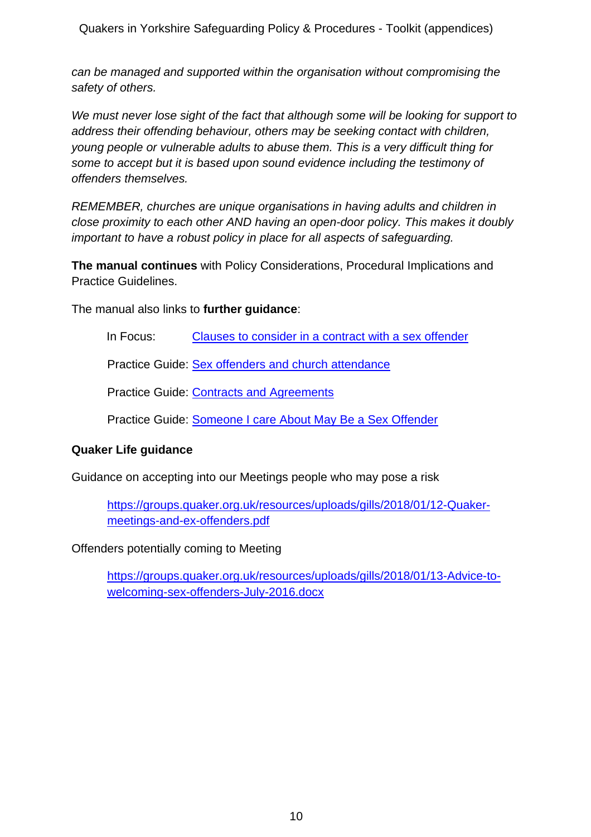*can be managed and supported within the organisation without compromising the safety of others.* 

*We must never lose sight of the fact that although some will be looking for support to address their offending behaviour, others may be seeking contact with children, young people or vulnerable adults to abuse them. This is a very difficult thing for some to accept but it is based upon sound evidence including the testimony of offenders themselves.* 

*REMEMBER, churches are unique organisations in having adults and children in close proximity to each other AND having an open-door policy. This makes it doubly important to have a robust policy in place for all aspects of safeguarding.* 

**The manual continues** with Policy Considerations, Procedural Implications and Practice Guidelines.

The manual also links to **further guidance**:

In Focus: Clauses to consider in a contract with a sex offender

Practice Guide: Sex offenders and church attendance

Practice Guide: Contracts and Agreements

Practice Guide: Someone I care About May Be a Sex Offender

## **Quaker Life guidance**

Guidance on accepting into our Meetings people who may pose a risk

https://groups.quaker.org.uk/resources/uploads/gills/2018/01/12-Quakermeetings-and-ex-offenders.pdf

Offenders potentially coming to Meeting

https://groups.quaker.org.uk/resources/uploads/gills/2018/01/13-Advice-towelcoming-sex-offenders-July-2016.docx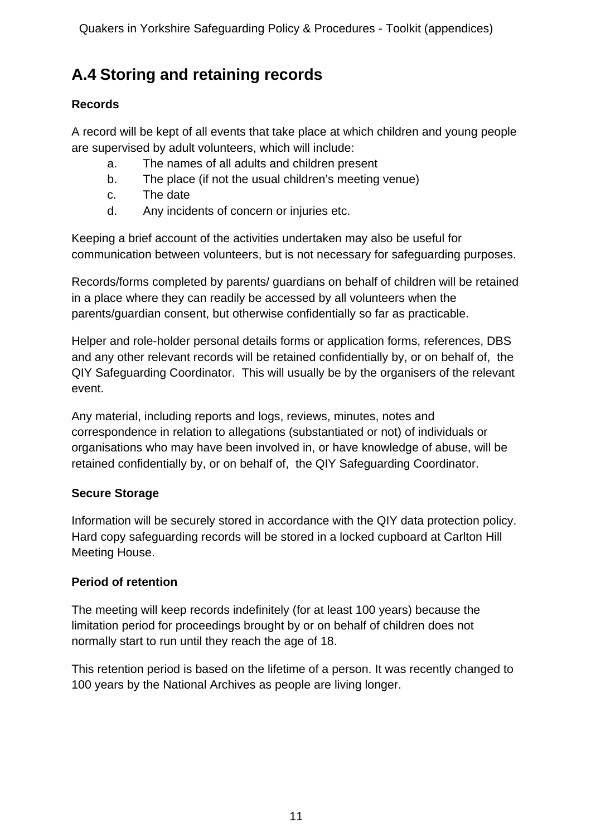# **A.4 Storing and retaining records**

# **Records**

A record will be kept of all events that take place at which children and young people are supervised by adult volunteers, which will include:

- a. The names of all adults and children present
- b. The place (if not the usual children's meeting venue)
- c. The date
- d. Any incidents of concern or injuries etc.

Keeping a brief account of the activities undertaken may also be useful for communication between volunteers, but is not necessary for safeguarding purposes.

Records/forms completed by parents/ guardians on behalf of children will be retained in a place where they can readily be accessed by all volunteers when the parents/guardian consent, but otherwise confidentially so far as practicable.

Helper and role-holder personal details forms or application forms, references, DBS and any other relevant records will be retained confidentially by, or on behalf of, the QIY Safeguarding Coordinator. This will usually be by the organisers of the relevant event.

Any material, including reports and logs, reviews, minutes, notes and correspondence in relation to allegations (substantiated or not) of individuals or organisations who may have been involved in, or have knowledge of abuse, will be retained confidentially by, or on behalf of, the QIY Safeguarding Coordinator.

# **Secure Storage**

Information will be securely stored in accordance with the QIY data protection policy. Hard copy safeguarding records will be stored in a locked cupboard at Carlton Hill Meeting House.

# **Period of retention**

The meeting will keep records indefinitely (for at least 100 years) because the limitation period for proceedings brought by or on behalf of children does not normally start to run until they reach the age of 18.

This retention period is based on the lifetime of a person. It was recently changed to 100 years by the National Archives as people are living longer.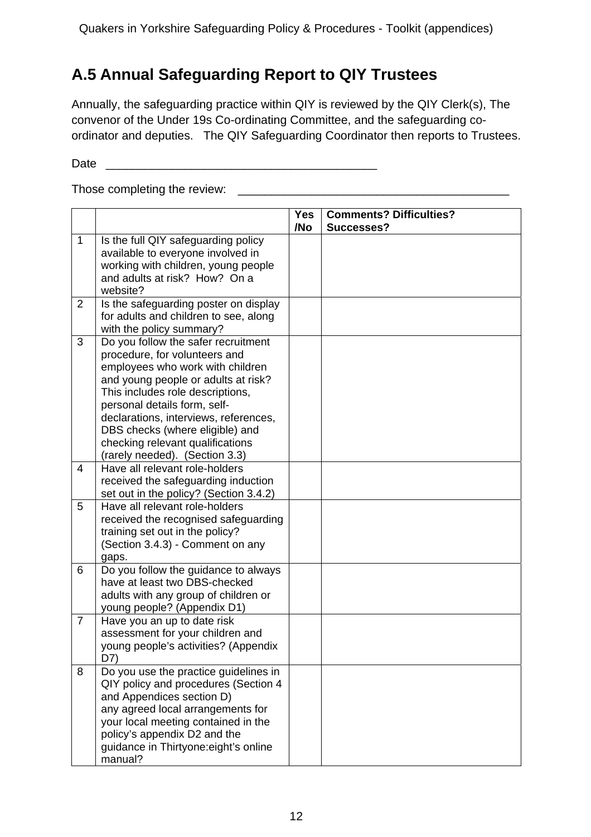# **A.5 Annual Safeguarding Report to QIY Trustees**

Annually, the safeguarding practice within QIY is reviewed by the QIY Clerk(s), The convenor of the Under 19s Co-ordinating Committee, and the safeguarding coordinator and deputies. The QIY Safeguarding Coordinator then reports to Trustees.

 $Date$   $\Box$ 

Those completing the review: \_\_\_\_\_\_\_\_\_\_\_\_\_\_\_\_\_\_\_\_\_\_\_\_\_\_\_\_\_\_\_\_\_\_\_\_\_\_\_\_\_

|                |                                                                                                                                                                                                                                                                                                                                                                       | <b>Yes</b><br>/No | <b>Comments? Difficulties?</b><br>Successes? |
|----------------|-----------------------------------------------------------------------------------------------------------------------------------------------------------------------------------------------------------------------------------------------------------------------------------------------------------------------------------------------------------------------|-------------------|----------------------------------------------|
| $\mathbf{1}$   | Is the full QIY safeguarding policy<br>available to everyone involved in<br>working with children, young people<br>and adults at risk? How? On a<br>website?                                                                                                                                                                                                          |                   |                                              |
| $\overline{2}$ | Is the safeguarding poster on display<br>for adults and children to see, along<br>with the policy summary?                                                                                                                                                                                                                                                            |                   |                                              |
| 3              | Do you follow the safer recruitment<br>procedure, for volunteers and<br>employees who work with children<br>and young people or adults at risk?<br>This includes role descriptions,<br>personal details form, self-<br>declarations, interviews, references,<br>DBS checks (where eligible) and<br>checking relevant qualifications<br>(rarely needed). (Section 3.3) |                   |                                              |
| 4              | Have all relevant role-holders<br>received the safeguarding induction<br>set out in the policy? (Section 3.4.2)                                                                                                                                                                                                                                                       |                   |                                              |
| 5              | Have all relevant role-holders<br>received the recognised safeguarding<br>training set out in the policy?<br>(Section 3.4.3) - Comment on any<br>gaps.                                                                                                                                                                                                                |                   |                                              |
| 6              | Do you follow the guidance to always<br>have at least two DBS-checked<br>adults with any group of children or<br>young people? (Appendix D1)                                                                                                                                                                                                                          |                   |                                              |
| $\overline{7}$ | Have you an up to date risk<br>assessment for your children and<br>young people's activities? (Appendix<br>D7)                                                                                                                                                                                                                                                        |                   |                                              |
| 8              | Do you use the practice guidelines in<br>QIY policy and procedures (Section 4<br>and Appendices section D)<br>any agreed local arrangements for<br>your local meeting contained in the<br>policy's appendix D2 and the<br>guidance in Thirtyone: eight's online<br>manual?                                                                                            |                   |                                              |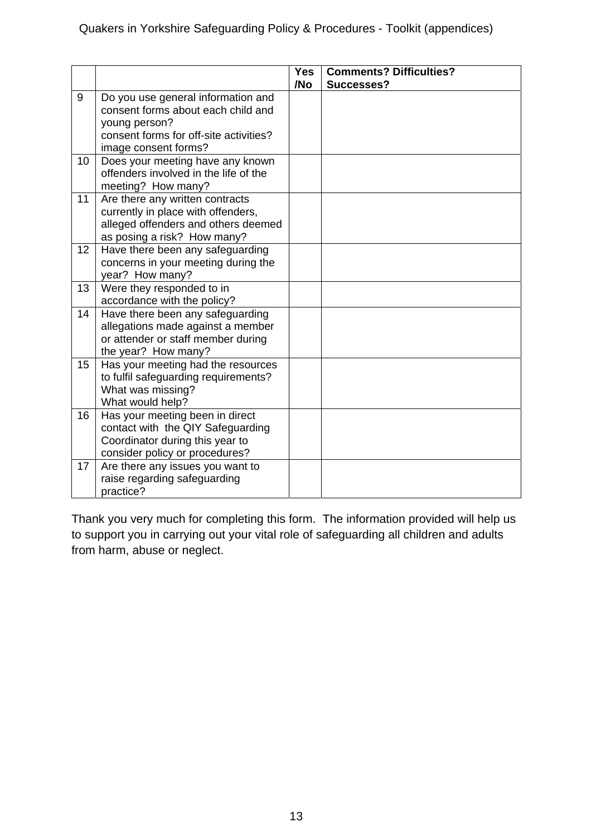|    |                                                                    | <b>Yes</b><br>/No | <b>Comments? Difficulties?</b><br><b>Successes?</b> |
|----|--------------------------------------------------------------------|-------------------|-----------------------------------------------------|
| 9  | Do you use general information and                                 |                   |                                                     |
|    | consent forms about each child and                                 |                   |                                                     |
|    | young person?                                                      |                   |                                                     |
|    | consent forms for off-site activities?                             |                   |                                                     |
|    | image consent forms?                                               |                   |                                                     |
| 10 | Does your meeting have any known                                   |                   |                                                     |
|    | offenders involved in the life of the                              |                   |                                                     |
|    | meeting? How many?                                                 |                   |                                                     |
| 11 | Are there any written contracts                                    |                   |                                                     |
|    | currently in place with offenders,                                 |                   |                                                     |
|    | alleged offenders and others deemed<br>as posing a risk? How many? |                   |                                                     |
| 12 | Have there been any safeguarding                                   |                   |                                                     |
|    | concerns in your meeting during the                                |                   |                                                     |
|    | year? How many?                                                    |                   |                                                     |
| 13 | Were they responded to in                                          |                   |                                                     |
|    | accordance with the policy?                                        |                   |                                                     |
| 14 | Have there been any safeguarding                                   |                   |                                                     |
|    | allegations made against a member                                  |                   |                                                     |
|    | or attender or staff member during                                 |                   |                                                     |
|    | the year? How many?                                                |                   |                                                     |
| 15 | Has your meeting had the resources                                 |                   |                                                     |
|    | to fulfil safeguarding requirements?                               |                   |                                                     |
|    | What was missing?                                                  |                   |                                                     |
| 16 | What would help?<br>Has your meeting been in direct                |                   |                                                     |
|    | contact with the QIY Safeguarding                                  |                   |                                                     |
|    | Coordinator during this year to                                    |                   |                                                     |
|    | consider policy or procedures?                                     |                   |                                                     |
| 17 | Are there any issues you want to                                   |                   |                                                     |
|    | raise regarding safeguarding                                       |                   |                                                     |
|    | practice?                                                          |                   |                                                     |

Thank you very much for completing this form. The information provided will help us to support you in carrying out your vital role of safeguarding all children and adults from harm, abuse or neglect.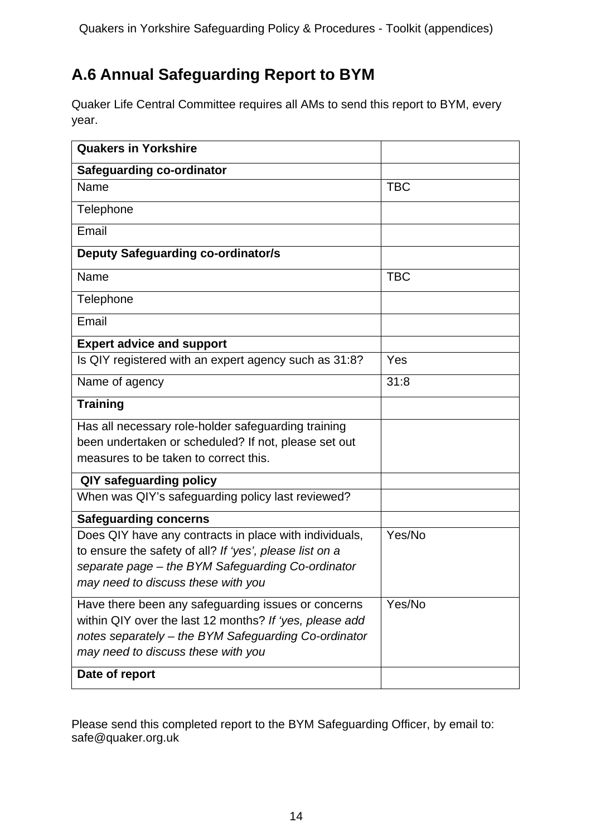# **A.6 Annual Safeguarding Report to BYM**

Quaker Life Central Committee requires all AMs to send this report to BYM, every year.

| <b>Quakers in Yorkshire</b>                                                                   |            |
|-----------------------------------------------------------------------------------------------|------------|
| <b>Safeguarding co-ordinator</b>                                                              |            |
| Name                                                                                          | <b>TBC</b> |
| Telephone                                                                                     |            |
| Email                                                                                         |            |
| <b>Deputy Safeguarding co-ordinator/s</b>                                                     |            |
| Name                                                                                          | <b>TBC</b> |
| Telephone                                                                                     |            |
| Email                                                                                         |            |
| <b>Expert advice and support</b>                                                              |            |
| Is QIY registered with an expert agency such as 31:8?                                         | Yes        |
| Name of agency                                                                                | 31:8       |
| <b>Training</b>                                                                               |            |
| Has all necessary role-holder safeguarding training                                           |            |
| been undertaken or scheduled? If not, please set out<br>measures to be taken to correct this. |            |
| QIY safeguarding policy                                                                       |            |
| When was QIY's safeguarding policy last reviewed?                                             |            |
| <b>Safeguarding concerns</b>                                                                  |            |
| Does QIY have any contracts in place with individuals,                                        | Yes/No     |
| to ensure the safety of all? If 'yes', please list on a                                       |            |
| separate page - the BYM Safeguarding Co-ordinator                                             |            |
| may need to discuss these with you                                                            |            |
| Have there been any safeguarding issues or concerns                                           | Yes/No     |
| within QIY over the last 12 months? If 'yes, please add                                       |            |
| notes separately - the BYM Safeguarding Co-ordinator                                          |            |
| may need to discuss these with you                                                            |            |
| Date of report                                                                                |            |

Please send this completed report to the BYM Safeguarding Officer, by email to: safe@quaker.org.uk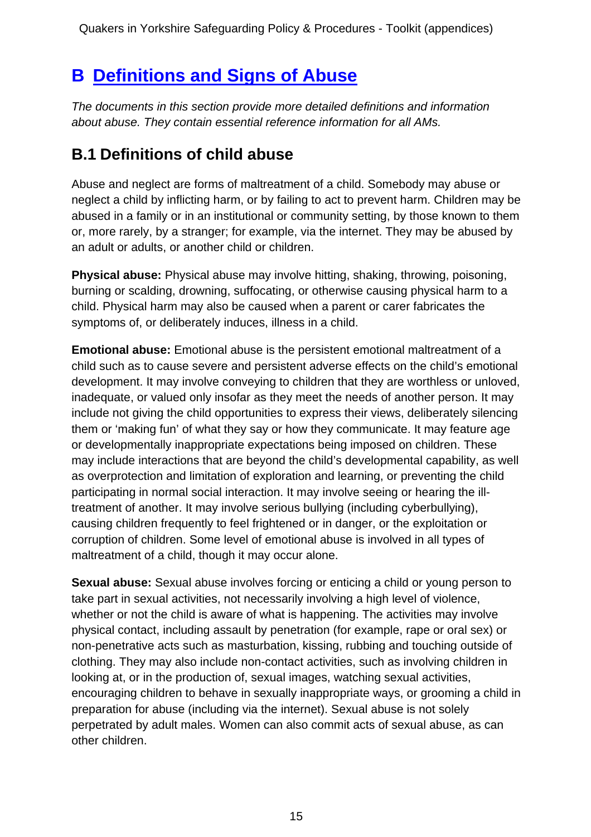# **B Definitions and Signs of Abuse**

*The documents in this section provide more detailed definitions and information about abuse. They contain essential reference information for all AMs.* 

# **B.1 Definitions of child abuse**

Abuse and neglect are forms of maltreatment of a child. Somebody may abuse or neglect a child by inflicting harm, or by failing to act to prevent harm. Children may be abused in a family or in an institutional or community setting, by those known to them or, more rarely, by a stranger; for example, via the internet. They may be abused by an adult or adults, or another child or children.

**Physical abuse:** Physical abuse may involve hitting, shaking, throwing, poisoning, burning or scalding, drowning, suffocating, or otherwise causing physical harm to a child. Physical harm may also be caused when a parent or carer fabricates the symptoms of, or deliberately induces, illness in a child.

**Emotional abuse:** Emotional abuse is the persistent emotional maltreatment of a child such as to cause severe and persistent adverse effects on the child's emotional development. It may involve conveying to children that they are worthless or unloved, inadequate, or valued only insofar as they meet the needs of another person. It may include not giving the child opportunities to express their views, deliberately silencing them or 'making fun' of what they say or how they communicate. It may feature age or developmentally inappropriate expectations being imposed on children. These may include interactions that are beyond the child's developmental capability, as well as overprotection and limitation of exploration and learning, or preventing the child participating in normal social interaction. It may involve seeing or hearing the illtreatment of another. It may involve serious bullying (including cyberbullying), causing children frequently to feel frightened or in danger, or the exploitation or corruption of children. Some level of emotional abuse is involved in all types of maltreatment of a child, though it may occur alone.

**Sexual abuse:** Sexual abuse involves forcing or enticing a child or young person to take part in sexual activities, not necessarily involving a high level of violence, whether or not the child is aware of what is happening. The activities may involve physical contact, including assault by penetration (for example, rape or oral sex) or non-penetrative acts such as masturbation, kissing, rubbing and touching outside of clothing. They may also include non-contact activities, such as involving children in looking at, or in the production of, sexual images, watching sexual activities, encouraging children to behave in sexually inappropriate ways, or grooming a child in preparation for abuse (including via the internet). Sexual abuse is not solely perpetrated by adult males. Women can also commit acts of sexual abuse, as can other children.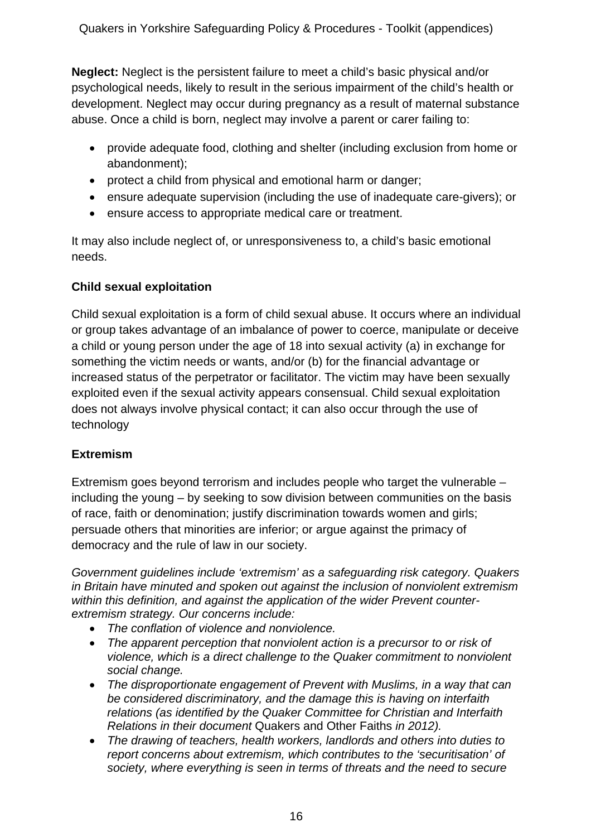**Neglect:** Neglect is the persistent failure to meet a child's basic physical and/or psychological needs, likely to result in the serious impairment of the child's health or development. Neglect may occur during pregnancy as a result of maternal substance abuse. Once a child is born, neglect may involve a parent or carer failing to:

- provide adequate food, clothing and shelter (including exclusion from home or abandonment);
- protect a child from physical and emotional harm or danger;
- ensure adequate supervision (including the use of inadequate care-givers); or
- ensure access to appropriate medical care or treatment.

It may also include neglect of, or unresponsiveness to, a child's basic emotional needs.

# **Child sexual exploitation**

Child sexual exploitation is a form of child sexual abuse. It occurs where an individual or group takes advantage of an imbalance of power to coerce, manipulate or deceive a child or young person under the age of 18 into sexual activity (a) in exchange for something the victim needs or wants, and/or (b) for the financial advantage or increased status of the perpetrator or facilitator. The victim may have been sexually exploited even if the sexual activity appears consensual. Child sexual exploitation does not always involve physical contact; it can also occur through the use of technology

# **Extremism**

Extremism goes beyond terrorism and includes people who target the vulnerable – including the young – by seeking to sow division between communities on the basis of race, faith or denomination; justify discrimination towards women and girls; persuade others that minorities are inferior; or argue against the primacy of democracy and the rule of law in our society.

*Government guidelines include 'extremism' as a safeguarding risk category. Quakers in Britain have minuted and spoken out against the inclusion of nonviolent extremism within this definition, and against the application of the wider Prevent counterextremism strategy. Our concerns include:* 

- *The conflation of violence and nonviolence.*
- *The apparent perception that nonviolent action is a precursor to or risk of violence, which is a direct challenge to the Quaker commitment to nonviolent social change.*
- *The disproportionate engagement of Prevent with Muslims, in a way that can be considered discriminatory, and the damage this is having on interfaith relations (as identified by the Quaker Committee for Christian and Interfaith Relations in their document* Quakers and Other Faiths *in 2012).*
- *The drawing of teachers, health workers, landlords and others into duties to report concerns about extremism, which contributes to the 'securitisation' of society, where everything is seen in terms of threats and the need to secure*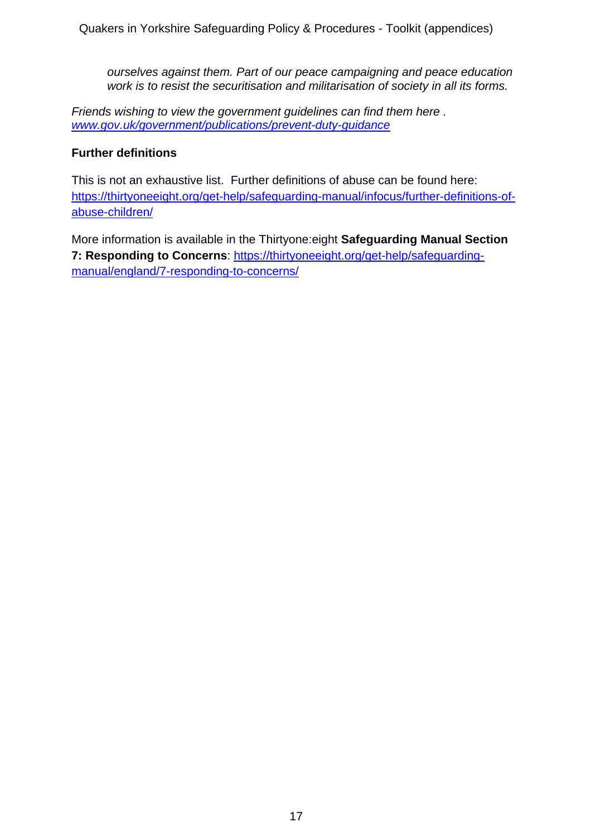*ourselves against them. Part of our peace campaigning and peace education work is to resist the securitisation and militarisation of society in all its forms.* 

*Friends wishing to view the government guidelines can find them here . www.gov.uk/government/publications/prevent-duty-guidance* 

#### **Further definitions**

This is not an exhaustive list. Further definitions of abuse can be found here: https://thirtyoneeight.org/get-help/safeguarding-manual/infocus/further-definitions-ofabuse-children/

More information is available in the Thirtyone:eight **Safeguarding Manual Section 7: Responding to Concerns**: https://thirtyoneeight.org/get-help/safeguardingmanual/england/7-responding-to-concerns/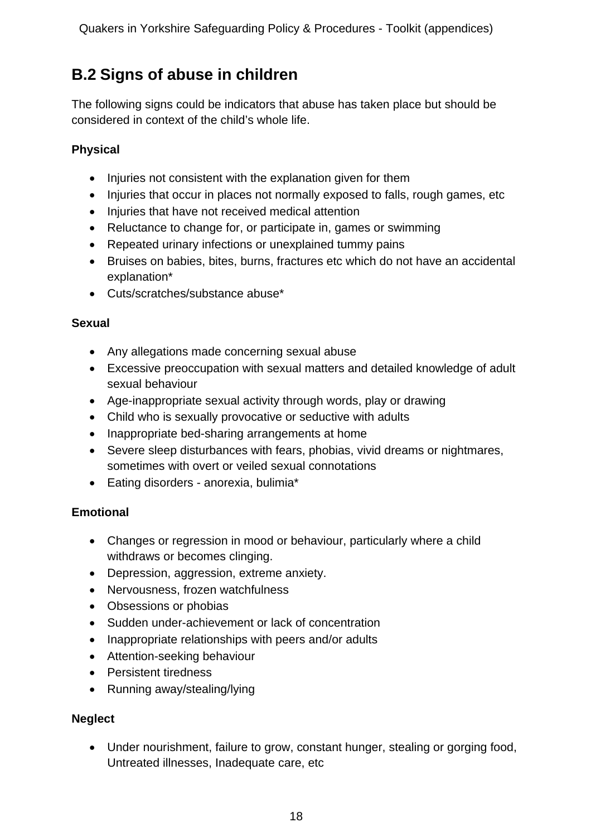# **B.2 Signs of abuse in children**

The following signs could be indicators that abuse has taken place but should be considered in context of the child's whole life.

# **Physical**

- Injuries not consistent with the explanation given for them
- Injuries that occur in places not normally exposed to falls, rough games, etc
- Injuries that have not received medical attention
- Reluctance to change for, or participate in, games or swimming
- Repeated urinary infections or unexplained tummy pains
- Bruises on babies, bites, burns, fractures etc which do not have an accidental explanation\*
- Cuts/scratches/substance abuse\*

## **Sexual**

- Any allegations made concerning sexual abuse
- Excessive preoccupation with sexual matters and detailed knowledge of adult sexual behaviour
- Age-inappropriate sexual activity through words, play or drawing
- Child who is sexually provocative or seductive with adults
- Inappropriate bed-sharing arrangements at home
- Severe sleep disturbances with fears, phobias, vivid dreams or nightmares, sometimes with overt or veiled sexual connotations
- Eating disorders anorexia, bulimia\*

# **Emotional**

- Changes or regression in mood or behaviour, particularly where a child withdraws or becomes clinging.
- Depression, aggression, extreme anxiety.
- Nervousness, frozen watchfulness
- Obsessions or phobias
- Sudden under-achievement or lack of concentration
- Inappropriate relationships with peers and/or adults
- Attention-seeking behaviour
- Persistent tiredness
- Running away/stealing/lying

## **Neglect**

 Under nourishment, failure to grow, constant hunger, stealing or gorging food, Untreated illnesses, Inadequate care, etc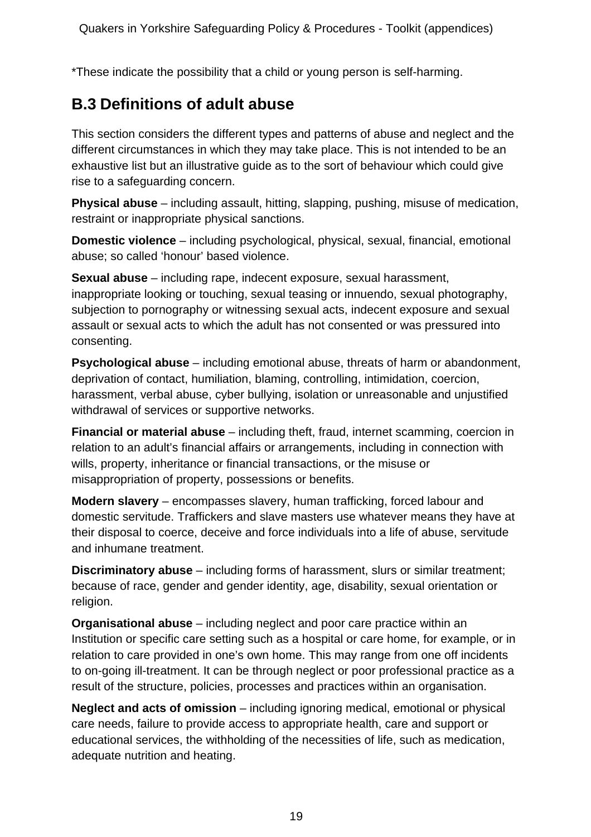\*These indicate the possibility that a child or young person is self-harming.

# **B.3 Definitions of adult abuse**

This section considers the different types and patterns of abuse and neglect and the different circumstances in which they may take place. This is not intended to be an exhaustive list but an illustrative guide as to the sort of behaviour which could give rise to a safeguarding concern.

**Physical abuse** – including assault, hitting, slapping, pushing, misuse of medication, restraint or inappropriate physical sanctions.

**Domestic violence** – including psychological, physical, sexual, financial, emotional abuse; so called 'honour' based violence.

**Sexual abuse** – including rape, indecent exposure, sexual harassment, inappropriate looking or touching, sexual teasing or innuendo, sexual photography, subjection to pornography or witnessing sexual acts, indecent exposure and sexual assault or sexual acts to which the adult has not consented or was pressured into consenting.

**Psychological abuse** – including emotional abuse, threats of harm or abandonment, deprivation of contact, humiliation, blaming, controlling, intimidation, coercion, harassment, verbal abuse, cyber bullying, isolation or unreasonable and unjustified withdrawal of services or supportive networks.

**Financial or material abuse** – including theft, fraud, internet scamming, coercion in relation to an adult's financial affairs or arrangements, including in connection with wills, property, inheritance or financial transactions, or the misuse or misappropriation of property, possessions or benefits.

**Modern slavery** – encompasses slavery, human trafficking, forced labour and domestic servitude. Traffickers and slave masters use whatever means they have at their disposal to coerce, deceive and force individuals into a life of abuse, servitude and inhumane treatment.

**Discriminatory abuse** – including forms of harassment, slurs or similar treatment; because of race, gender and gender identity, age, disability, sexual orientation or religion.

**Organisational abuse** – including neglect and poor care practice within an Institution or specific care setting such as a hospital or care home, for example, or in relation to care provided in one's own home. This may range from one off incidents to on-going ill-treatment. It can be through neglect or poor professional practice as a result of the structure, policies, processes and practices within an organisation.

**Neglect and acts of omission** – including ignoring medical, emotional or physical care needs, failure to provide access to appropriate health, care and support or educational services, the withholding of the necessities of life, such as medication, adequate nutrition and heating.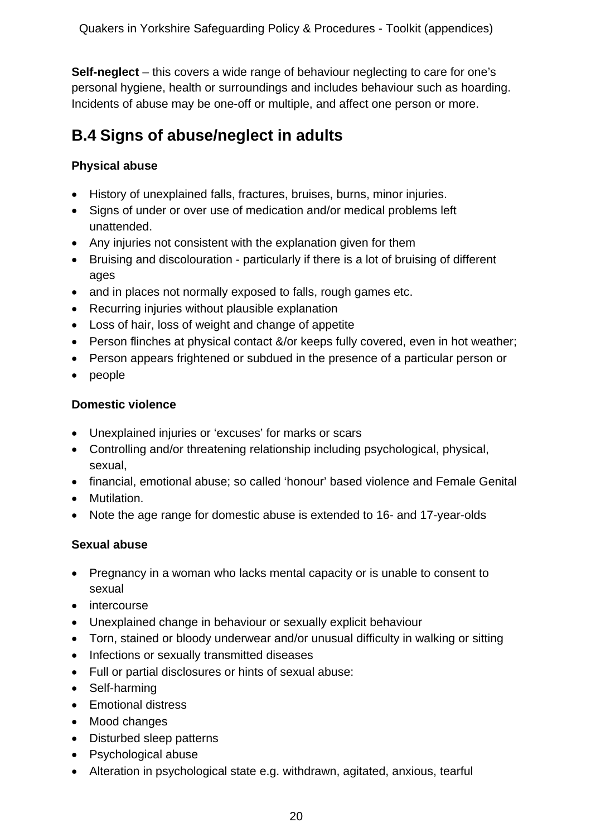**Self-neglect** – this covers a wide range of behaviour neglecting to care for one's personal hygiene, health or surroundings and includes behaviour such as hoarding. Incidents of abuse may be one-off or multiple, and affect one person or more.

# **B.4 Signs of abuse/neglect in adults**

# **Physical abuse**

- History of unexplained falls, fractures, bruises, burns, minor injuries.
- Signs of under or over use of medication and/or medical problems left unattended.
- Any injuries not consistent with the explanation given for them
- Bruising and discolouration particularly if there is a lot of bruising of different ages
- and in places not normally exposed to falls, rough games etc.
- Recurring injuries without plausible explanation
- Loss of hair, loss of weight and change of appetite
- Person flinches at physical contact &/or keeps fully covered, even in hot weather;
- Person appears frightened or subdued in the presence of a particular person or
- people

## **Domestic violence**

- Unexplained injuries or 'excuses' for marks or scars
- Controlling and/or threatening relationship including psychological, physical, sexual,
- financial, emotional abuse; so called 'honour' based violence and Female Genital
- Mutilation.
- Note the age range for domestic abuse is extended to 16- and 17-year-olds

## **Sexual abuse**

- Pregnancy in a woman who lacks mental capacity or is unable to consent to sexual
- intercourse
- Unexplained change in behaviour or sexually explicit behaviour
- Torn, stained or bloody underwear and/or unusual difficulty in walking or sitting
- Infections or sexually transmitted diseases
- Full or partial disclosures or hints of sexual abuse:
- Self-harming
- Emotional distress
- Mood changes
- Disturbed sleep patterns
- Psychological abuse
- Alteration in psychological state e.g. withdrawn, agitated, anxious, tearful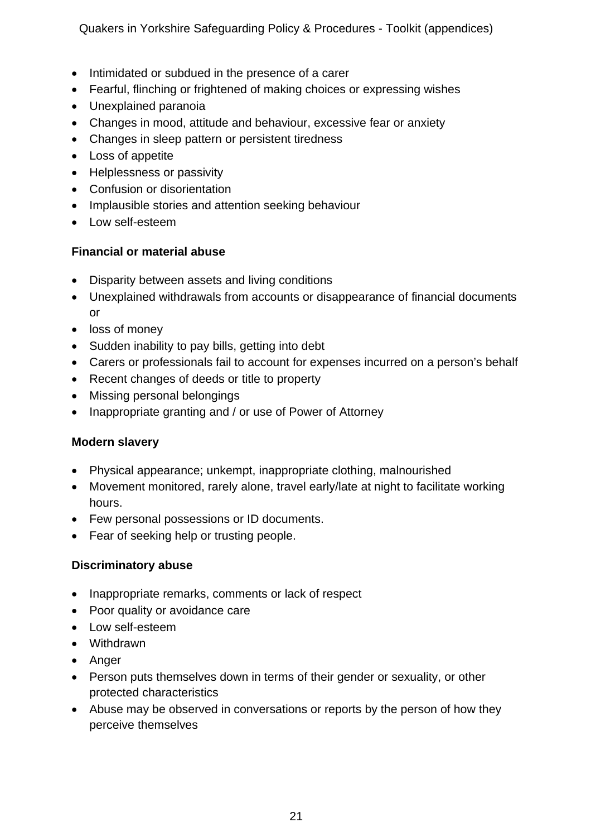- Intimidated or subdued in the presence of a carer
- Fearful, flinching or frightened of making choices or expressing wishes
- Unexplained paranoia
- Changes in mood, attitude and behaviour, excessive fear or anxiety
- Changes in sleep pattern or persistent tiredness
- Loss of appetite
- Helplessness or passivity
- Confusion or disorientation
- Implausible stories and attention seeking behaviour
- Low self-esteem

#### **Financial or material abuse**

- Disparity between assets and living conditions
- Unexplained withdrawals from accounts or disappearance of financial documents or
- loss of money
- Sudden inability to pay bills, getting into debt
- Carers or professionals fail to account for expenses incurred on a person's behalf
- Recent changes of deeds or title to property
- Missing personal belongings
- Inappropriate granting and / or use of Power of Attorney

#### **Modern slavery**

- Physical appearance; unkempt, inappropriate clothing, malnourished
- Movement monitored, rarely alone, travel early/late at night to facilitate working hours.
- Few personal possessions or ID documents.
- Fear of seeking help or trusting people.

#### **Discriminatory abuse**

- Inappropriate remarks, comments or lack of respect
- Poor quality or avoidance care
- Low self-esteem
- Withdrawn
- Anger
- Person puts themselves down in terms of their gender or sexuality, or other protected characteristics
- Abuse may be observed in conversations or reports by the person of how they perceive themselves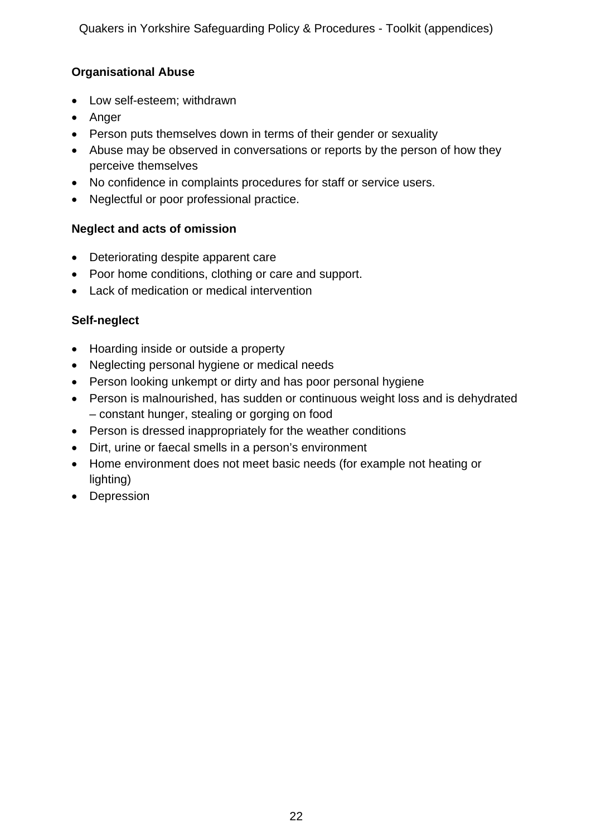# **Organisational Abuse**

- Low self-esteem: withdrawn
- Anger
- Person puts themselves down in terms of their gender or sexuality
- Abuse may be observed in conversations or reports by the person of how they perceive themselves
- No confidence in complaints procedures for staff or service users.
- Neglectful or poor professional practice.

#### **Neglect and acts of omission**

- Deteriorating despite apparent care
- Poor home conditions, clothing or care and support.
- Lack of medication or medical intervention

## **Self-neglect**

- Hoarding inside or outside a property
- Neglecting personal hygiene or medical needs
- Person looking unkempt or dirty and has poor personal hygiene
- Person is malnourished, has sudden or continuous weight loss and is dehydrated – constant hunger, stealing or gorging on food
- Person is dressed inappropriately for the weather conditions
- Dirt, urine or faecal smells in a person's environment
- Home environment does not meet basic needs (for example not heating or lighting)
- Depression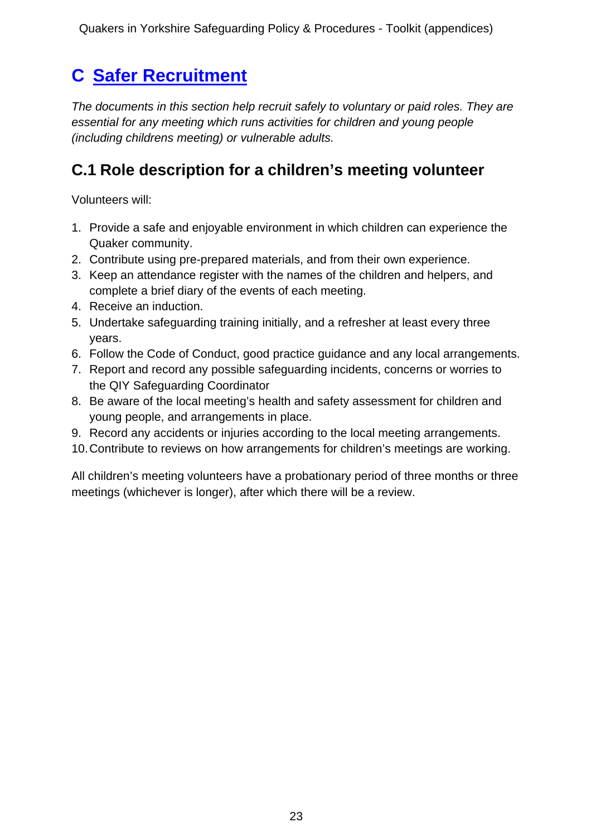# **C Safer Recruitment**

*The documents in this section help recruit safely to voluntary or paid roles. They are essential for any meeting which runs activities for children and young people (including childrens meeting) or vulnerable adults.* 

# **C.1 Role description for a children's meeting volunteer**

Volunteers will:

- 1. Provide a safe and enjoyable environment in which children can experience the Quaker community.
- 2. Contribute using pre-prepared materials, and from their own experience.
- 3. Keep an attendance register with the names of the children and helpers, and complete a brief diary of the events of each meeting.
- 4. Receive an induction.
- 5. Undertake safeguarding training initially, and a refresher at least every three years.
- 6. Follow the Code of Conduct, good practice guidance and any local arrangements.
- 7. Report and record any possible safeguarding incidents, concerns or worries to the QIY Safeguarding Coordinator
- 8. Be aware of the local meeting's health and safety assessment for children and young people, and arrangements in place.
- 9. Record any accidents or injuries according to the local meeting arrangements.
- 10. Contribute to reviews on how arrangements for children's meetings are working.

All children's meeting volunteers have a probationary period of three months or three meetings (whichever is longer), after which there will be a review.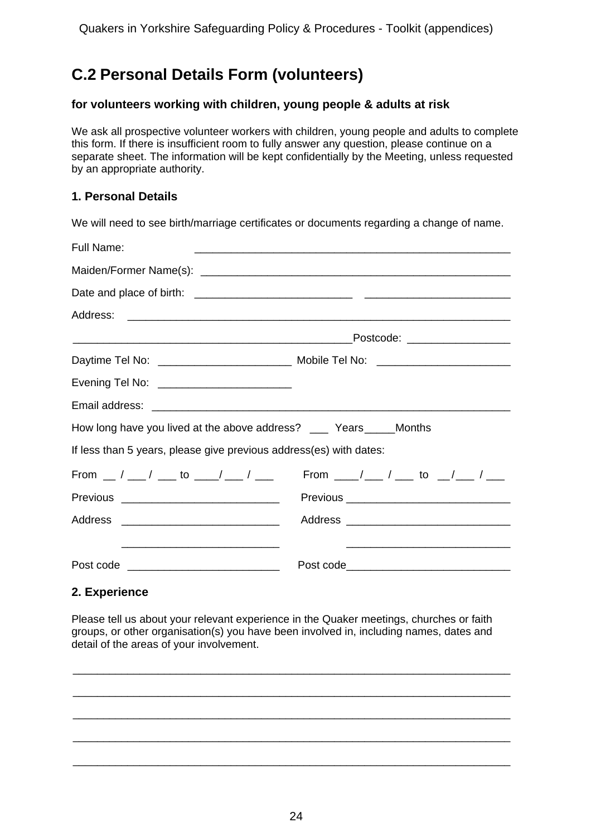# **C.2 Personal Details Form (volunteers)**

#### **for volunteers working with children, young people & adults at risk**

We ask all prospective volunteer workers with children, young people and adults to complete this form. If there is insufficient room to fully answer any question, please continue on a separate sheet. The information will be kept confidentially by the Meeting, unless requested by an appropriate authority.

#### **1. Personal Details**

We will need to see birth/marriage certificates or documents regarding a change of name.

| Full Name:                                                                                                                              |  |
|-----------------------------------------------------------------------------------------------------------------------------------------|--|
|                                                                                                                                         |  |
|                                                                                                                                         |  |
|                                                                                                                                         |  |
|                                                                                                                                         |  |
|                                                                                                                                         |  |
| Evening Tel No: _________________________                                                                                               |  |
|                                                                                                                                         |  |
| How long have you lived at the above address? ___ Years _____ Months                                                                    |  |
| If less than 5 years, please give previous address(es) with dates:                                                                      |  |
| From $\frac{1}{2}$ / $\frac{1}{2}$ to $\frac{1}{2}$ / $\frac{1}{2}$ From $\frac{1}{2}$ / $\frac{1}{2}$ to $\frac{1}{2}$ / $\frac{1}{2}$ |  |
|                                                                                                                                         |  |
|                                                                                                                                         |  |
|                                                                                                                                         |  |
| Post code _________________________________                                                                                             |  |

#### **2. Experience**

Please tell us about your relevant experience in the Quaker meetings, churches or faith groups, or other organisation(s) you have been involved in, including names, dates and detail of the areas of your involvement.

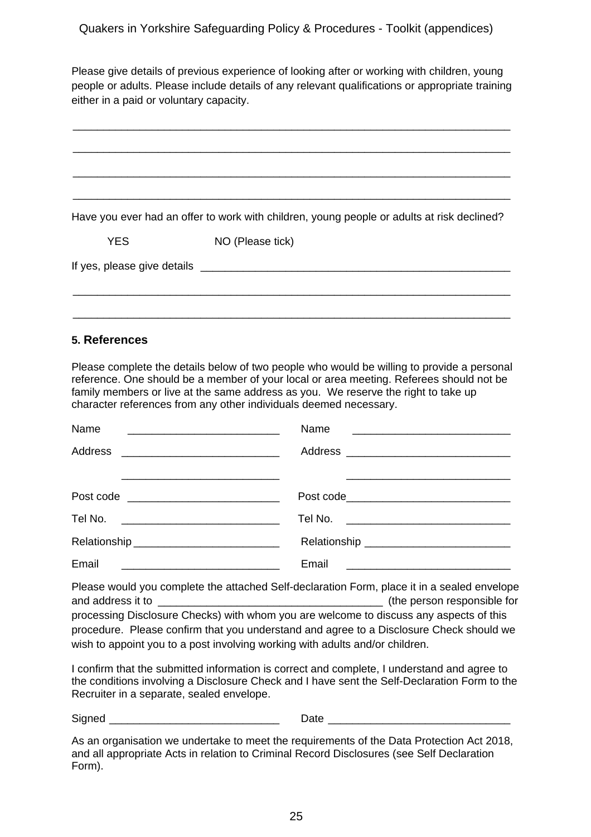Please give details of previous experience of looking after or working with children, young people or adults. Please include details of any relevant qualifications or appropriate training either in a paid or voluntary capacity.

|                                    | Have you ever had an offer to work with children, young people or adults at risk declined? |
|------------------------------------|--------------------------------------------------------------------------------------------|
| <b>YES</b>                         | NO (Please tick)                                                                           |
| If yes, please give details ______ |                                                                                            |
|                                    |                                                                                            |
|                                    |                                                                                            |

#### **5. References**

Please complete the details below of two people who would be willing to provide a personal reference. One should be a member of your local or area meeting. Referees should not be family members or live at the same address as you. We reserve the right to take up character references from any other individuals deemed necessary.

| Name<br><u> 1989 - Johann Harry Harry Harry Harry Harry Harry Harry Harry Harry Harry Harry Harry Harry Harry Harry Harry</u> | Name<br><u> 1989 - Johann Barn, margaret eta biztanleria (h. 1989).</u> |
|-------------------------------------------------------------------------------------------------------------------------------|-------------------------------------------------------------------------|
|                                                                                                                               |                                                                         |
|                                                                                                                               |                                                                         |
|                                                                                                                               | Post code___________________________________                            |
| Tel No. _______________________________                                                                                       |                                                                         |
| Relationship ______________________________                                                                                   |                                                                         |
| Email                                                                                                                         | Email                                                                   |

Please would you complete the attached Self-declaration Form, place it in a sealed envelope and address it to \_\_\_\_\_\_\_\_\_\_\_\_\_\_\_\_\_\_\_\_\_\_\_\_\_\_\_\_\_\_\_\_\_\_\_\_\_ (the person responsible for processing Disclosure Checks) with whom you are welcome to discuss any aspects of this procedure. Please confirm that you understand and agree to a Disclosure Check should we wish to appoint you to a post involving working with adults and/or children.

I confirm that the submitted information is correct and complete, I understand and agree to the conditions involving a Disclosure Check and I have sent the Self-Declaration Form to the Recruiter in a separate, sealed envelope.

Signed \_\_\_\_\_\_\_\_\_\_\_\_\_\_\_\_\_\_\_\_\_\_\_\_\_\_\_\_ Date \_\_\_\_\_\_\_\_\_\_\_\_\_\_\_\_\_\_\_\_\_\_\_\_\_\_\_\_\_\_

As an organisation we undertake to meet the requirements of the Data Protection Act 2018, and all appropriate Acts in relation to Criminal Record Disclosures (see Self Declaration Form).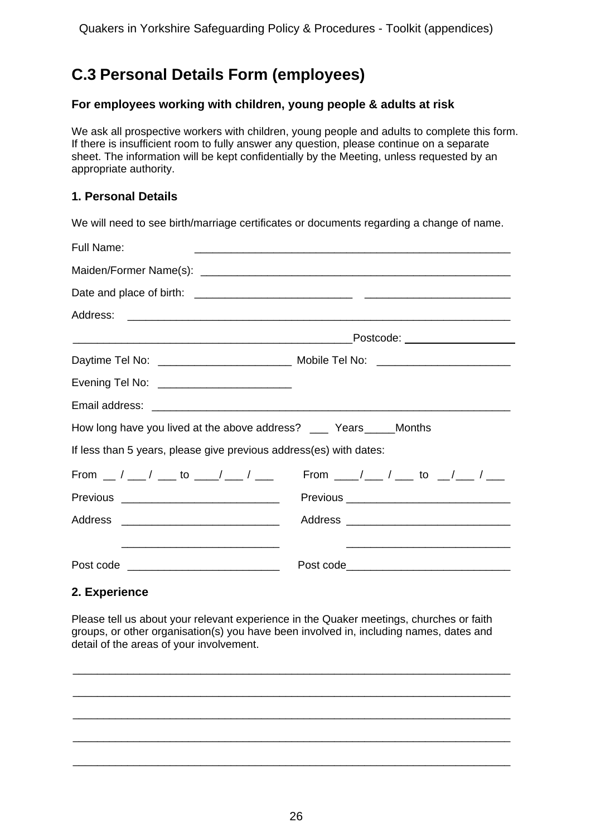# **C.3 Personal Details Form (employees)**

#### **For employees working with children, young people & adults at risk**

We ask all prospective workers with children, young people and adults to complete this form. If there is insufficient room to fully answer any question, please continue on a separate sheet. The information will be kept confidentially by the Meeting, unless requested by an appropriate authority.

#### **1. Personal Details**

We will need to see birth/marriage certificates or documents regarding a change of name.

| Full Name:                                                                                                                              |                                                                                                                        |
|-----------------------------------------------------------------------------------------------------------------------------------------|------------------------------------------------------------------------------------------------------------------------|
|                                                                                                                                         |                                                                                                                        |
|                                                                                                                                         |                                                                                                                        |
|                                                                                                                                         |                                                                                                                        |
|                                                                                                                                         |                                                                                                                        |
|                                                                                                                                         |                                                                                                                        |
| Evening Tel No: _________________________                                                                                               |                                                                                                                        |
|                                                                                                                                         |                                                                                                                        |
| How long have you lived at the above address? ____ Years _____ Months                                                                   |                                                                                                                        |
| If less than 5 years, please give previous address(es) with dates:                                                                      |                                                                                                                        |
| From $\frac{1}{2}$ / $\frac{1}{2}$ to $\frac{1}{2}$ / $\frac{1}{2}$ From $\frac{1}{2}$ / $\frac{1}{2}$ to $\frac{1}{2}$ / $\frac{1}{2}$ |                                                                                                                        |
| Previous _________________________________                                                                                              |                                                                                                                        |
| Address __________________________________                                                                                              |                                                                                                                        |
|                                                                                                                                         | <u> 1989 - Johann John Stone, mars et al. 1989 - John Stone, mars et al. 1989 - John Stone, mars et al. 1989 - Joh</u> |
| Post code _______________________________                                                                                               |                                                                                                                        |

#### **2. Experience**

Please tell us about your relevant experience in the Quaker meetings, churches or faith groups, or other organisation(s) you have been involved in, including names, dates and detail of the areas of your involvement.

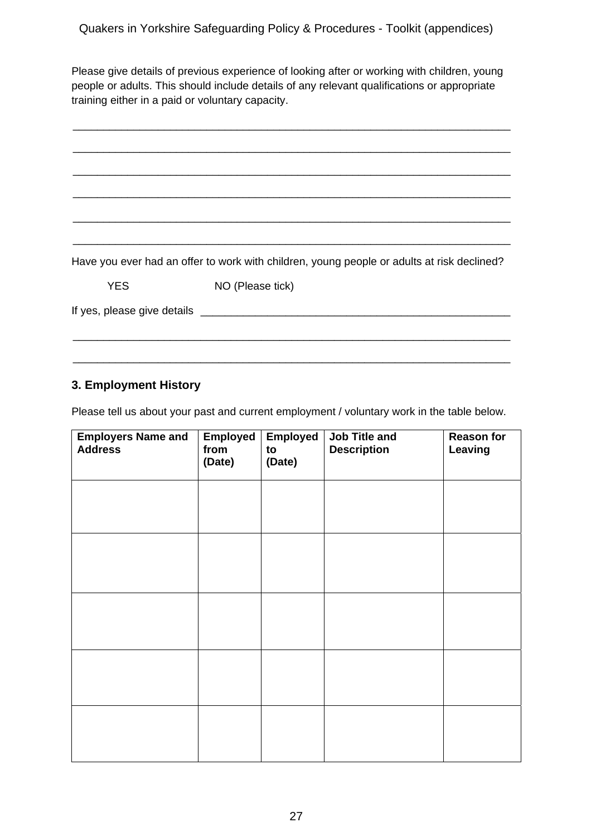Please give details of previous experience of looking after or working with children, young people or adults. This should include details of any relevant qualifications or appropriate training either in a paid or voluntary capacity.

|            | Have you ever had an offer to work with children, young people or adults at risk declined? |
|------------|--------------------------------------------------------------------------------------------|
| <b>YES</b> | NO (Please tick)                                                                           |
|            |                                                                                            |
|            |                                                                                            |
|            |                                                                                            |

### **3. Employment History**

Please tell us about your past and current employment / voluntary work in the table below.

\_\_\_\_\_\_\_\_\_\_\_\_\_\_\_\_\_\_\_\_\_\_\_\_\_\_\_\_\_\_\_\_\_\_\_\_\_\_\_\_\_\_\_\_\_\_\_\_\_\_\_\_\_\_\_\_\_\_\_\_\_\_\_\_\_\_\_\_\_\_\_\_

| <b>Employers Name and</b><br><b>Address</b> | <b>Employed</b><br>from<br>(Date) | <b>Employed</b><br>to<br>(Date) | <b>Job Title and</b><br><b>Description</b> | <b>Reason for</b><br>Leaving |
|---------------------------------------------|-----------------------------------|---------------------------------|--------------------------------------------|------------------------------|
|                                             |                                   |                                 |                                            |                              |
|                                             |                                   |                                 |                                            |                              |
|                                             |                                   |                                 |                                            |                              |
|                                             |                                   |                                 |                                            |                              |
|                                             |                                   |                                 |                                            |                              |
|                                             |                                   |                                 |                                            |                              |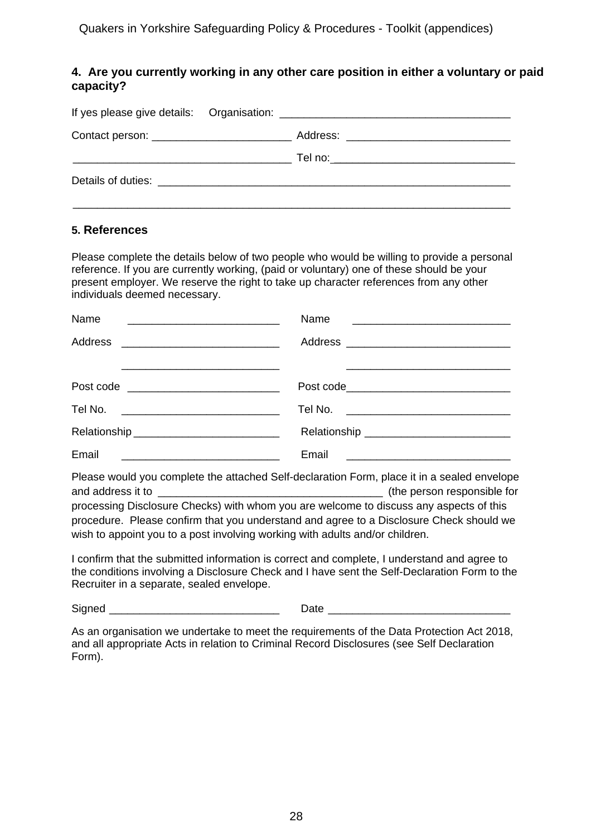#### **4. Are you currently working in any other care position in either a voluntary or paid capacity?**

|  | Tel no: <u>www.community.community.community.com</u> |  |
|--|------------------------------------------------------|--|
|  |                                                      |  |

#### **5. References**

Please complete the details below of two people who would be willing to provide a personal reference. If you are currently working, (paid or voluntary) one of these should be your present employer. We reserve the right to take up character references from any other individuals deemed necessary.

| Name                                                                                                                            | Name<br><u> 2000 - 2000 - 2000 - 2000 - 2000 - 2000 - 2000 - 2000 - 2000 - 2000 - 2000 - 2000 - 2000 - 2000 - 2000 - 200</u> |
|---------------------------------------------------------------------------------------------------------------------------------|------------------------------------------------------------------------------------------------------------------------------|
| Address                                                                                                                         |                                                                                                                              |
|                                                                                                                                 |                                                                                                                              |
| Post code _______________________________                                                                                       |                                                                                                                              |
| Tel No. _______________________________                                                                                         |                                                                                                                              |
|                                                                                                                                 |                                                                                                                              |
| Email<br><u> 1980 - Johann Barn, mars ann an t-Amhain ann an t-Amhain an t-Amhain an t-Amhain an t-Amhain ann an t-Amhain a</u> | Email                                                                                                                        |

Please would you complete the attached Self-declaration Form, place it in a sealed envelope and address it to \_\_\_\_\_\_\_\_\_\_\_\_\_\_\_\_\_\_\_\_\_\_\_\_\_\_\_\_\_\_\_\_\_\_\_\_\_ (the person responsible for processing Disclosure Checks) with whom you are welcome to discuss any aspects of this procedure. Please confirm that you understand and agree to a Disclosure Check should we wish to appoint you to a post involving working with adults and/or children.

I confirm that the submitted information is correct and complete, I understand and agree to the conditions involving a Disclosure Check and I have sent the Self-Declaration Form to the Recruiter in a separate, sealed envelope.

Signed **Example 2** and  $\overline{a}$  Date  $\overline{b}$ 

As an organisation we undertake to meet the requirements of the Data Protection Act 2018, and all appropriate Acts in relation to Criminal Record Disclosures (see Self Declaration Form).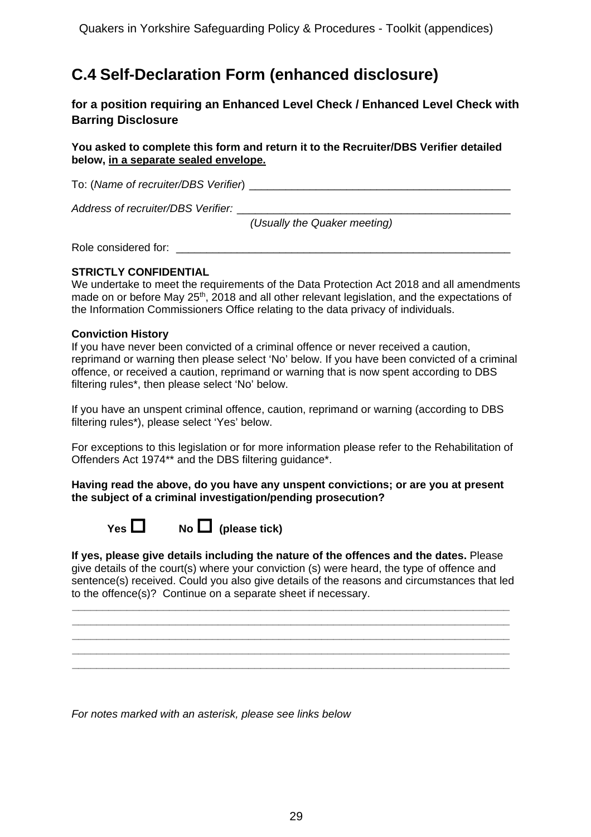# **C.4 Self-Declaration Form (enhanced disclosure)**

**for a position requiring an Enhanced Level Check / Enhanced Level Check with Barring Disclosure** 

#### **You asked to complete this form and return it to the Recruiter/DBS Verifier detailed below, in a separate sealed envelope.**

To: (*Name of recruiter/DBS Verifier*)

*Address of recruiter/DBS Verifier:* \_\_\_\_\_\_\_\_\_\_\_\_\_\_\_\_\_\_\_\_\_\_\_\_\_\_\_\_\_\_\_\_\_\_\_\_\_\_\_\_\_\_\_\_\_

*(Usually the Quaker meeting)* 

Role considered for:

#### **STRICTLY CONFIDENTIAL**

We undertake to meet the requirements of the Data Protection Act 2018 and all amendments made on or before May 25<sup>th</sup>, 2018 and all other relevant legislation, and the expectations of the Information Commissioners Office relating to the data privacy of individuals.

#### **Conviction History**

If you have never been convicted of a criminal offence or never received a caution, reprimand or warning then please select 'No' below. If you have been convicted of a criminal offence, or received a caution, reprimand or warning that is now spent according to DBS filtering rules\*, then please select 'No' below.

If you have an unspent criminal offence, caution, reprimand or warning (according to DBS filtering rules\*), please select 'Yes' below.

For exceptions to this legislation or for more information please refer to the Rehabilitation of Offenders Act 1974\*\* and the DBS filtering guidance\*.

**Having read the above, do you have any unspent convictions; or are you at present the subject of a criminal investigation/pending prosecution?**

**Yes No (please tick)**

**If yes, please give details including the nature of the offences and the dates.** Please give details of the court(s) where your conviction (s) were heard, the type of offence and sentence(s) received. Could you also give details of the reasons and circumstances that led to the offence(s)? Continue on a separate sheet if necessary.

 *\_\_\_\_\_\_\_\_\_\_\_\_\_\_\_\_\_\_\_\_\_\_\_\_\_\_\_\_\_\_\_\_\_\_\_\_\_\_\_\_\_\_\_\_\_\_\_\_\_\_\_\_\_\_\_\_\_\_\_\_\_\_\_\_\_\_\_\_\_\_\_\_ \_\_\_\_\_\_\_\_\_\_\_\_\_\_\_\_\_\_\_\_\_\_\_\_\_\_\_\_\_\_\_\_\_\_\_\_\_\_\_\_\_\_\_\_\_\_\_\_\_\_\_\_\_\_\_\_\_\_\_\_\_\_\_\_\_\_\_\_\_\_\_\_ \_\_\_\_\_\_\_\_\_\_\_\_\_\_\_\_\_\_\_\_\_\_\_\_\_\_\_\_\_\_\_\_\_\_\_\_\_\_\_\_\_\_\_\_\_\_\_\_\_\_\_\_\_\_\_\_\_\_\_\_\_\_\_\_\_\_\_\_\_\_\_\_ \_\_\_\_\_\_\_\_\_\_\_\_\_\_\_\_\_\_\_\_\_\_\_\_\_\_\_\_\_\_\_\_\_\_\_\_\_\_\_\_\_\_\_\_\_\_\_\_\_\_\_\_\_\_\_\_\_\_\_\_\_\_\_\_\_\_\_\_\_\_\_\_ \_\_\_\_\_\_\_\_\_\_\_\_\_\_\_\_\_\_\_\_\_\_\_\_\_\_\_\_\_\_\_\_\_\_\_\_\_\_\_\_\_\_\_\_\_\_\_\_\_\_\_\_\_\_\_\_\_\_\_\_\_\_\_\_\_\_\_\_\_\_\_\_* 

*For notes marked with an asterisk, please see links below*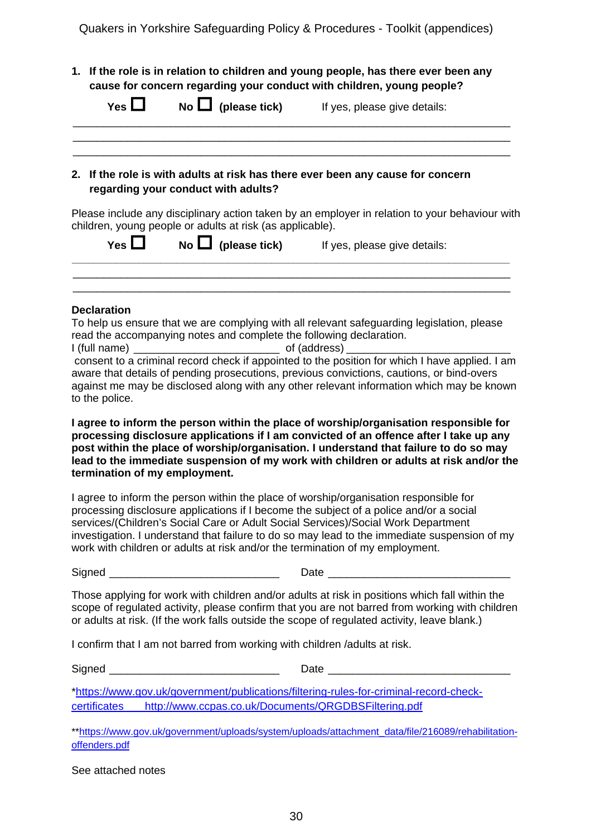**1. If the role is in relation to children and young people, has there ever been any cause for concern regarding your conduct with children, young people?** 

 \_\_\_\_\_\_\_\_\_\_\_\_\_\_\_\_\_\_\_\_\_\_\_\_\_\_\_\_\_\_\_\_\_\_\_\_\_\_\_\_\_\_\_\_\_\_\_\_\_\_\_\_\_\_\_\_\_\_\_\_\_\_\_\_\_\_\_\_\_\_\_\_ \_\_\_\_\_\_\_\_\_\_\_\_\_\_\_\_\_\_\_\_\_\_\_\_\_\_\_\_\_\_\_\_\_\_\_\_\_\_\_\_\_\_\_\_\_\_\_\_\_\_\_\_\_\_\_\_\_\_\_\_\_\_\_\_\_\_\_\_\_\_\_\_ \_\_\_\_\_\_\_\_\_\_\_\_\_\_\_\_\_\_\_\_\_\_\_\_\_\_\_\_\_\_\_\_\_\_\_\_\_\_\_\_\_\_\_\_\_\_\_\_\_\_\_\_\_\_\_\_\_\_\_\_\_\_\_\_\_\_\_\_\_\_\_\_

| Yes. | NO |
|------|----|
|------|----|

**(please tick)** If yes, please give details:

#### **2. If the role is with adults at risk has there ever been any cause for concern regarding your conduct with adults?**

Please include any disciplinary action taken by an employer in relation to your behaviour with children, young people or adults at risk (as applicable).

| Yes $\Box$ | No $\Box$ (please tick) | If yes, please give details: |
|------------|-------------------------|------------------------------|
|            |                         |                              |

#### **Declaration**

To help us ensure that we are complying with all relevant safeguarding legislation, please read the accompanying notes and complete the following declaration.

\_\_\_\_\_\_\_\_\_\_\_\_\_\_\_\_\_\_\_\_\_\_\_\_\_\_\_\_\_\_\_\_\_\_\_\_\_\_\_\_\_\_\_\_\_\_\_\_\_\_\_\_\_\_\_\_\_\_\_\_\_\_\_\_\_\_\_\_\_\_\_\_

I (full name) \_\_\_\_\_\_\_\_\_\_\_\_\_\_\_\_\_\_\_\_\_\_\_\_ of (address) \_\_\_\_\_\_\_\_\_\_\_\_\_\_\_\_\_\_\_\_\_\_\_\_\_\_\_ consent to a criminal record check if appointed to the position for which I have applied. I am aware that details of pending prosecutions, previous convictions, cautions, or bind-overs against me may be disclosed along with any other relevant information which may be known to the police.

**I agree to inform the person within the place of worship/organisation responsible for processing disclosure applications if I am convicted of an offence after I take up any post within the place of worship/organisation. I understand that failure to do so may lead to the immediate suspension of my work with children or adults at risk and/or the termination of my employment.**

I agree to inform the person within the place of worship/organisation responsible for processing disclosure applications if I become the subject of a police and/or a social services/(Children's Social Care or Adult Social Services)/Social Work Department investigation. I understand that failure to do so may lead to the immediate suspension of my work with children or adults at risk and/or the termination of my employment.

Signed **Example 2** and  $\overline{a}$  Date  $\overline{b}$ 

Those applying for work with children and/or adults at risk in positions which fall within the scope of regulated activity, please confirm that you are not barred from working with children or adults at risk. (If the work falls outside the scope of regulated activity, leave blank.)

I confirm that I am not barred from working with children /adults at risk.

Signed **Example 2** and  $\overline{a}$  Date  $\overline{b}$ 

\*https://www.gov.uk/government/publications/filtering-rules-for-criminal-record-checkcertificates http://www.ccpas.co.uk/Documents/QRGDBSFiltering.pdf

\*\*https://www.gov.uk/government/uploads/system/uploads/attachment\_data/file/216089/rehabilitationoffenders.pdf

See attached notes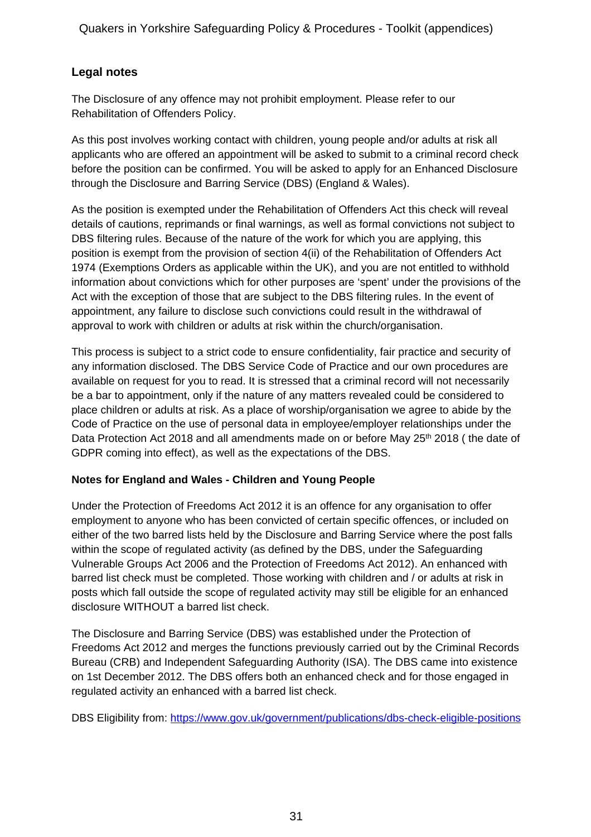## **Legal notes**

The Disclosure of any offence may not prohibit employment. Please refer to our Rehabilitation of Offenders Policy.

As this post involves working contact with children, young people and/or adults at risk all applicants who are offered an appointment will be asked to submit to a criminal record check before the position can be confirmed. You will be asked to apply for an Enhanced Disclosure through the Disclosure and Barring Service (DBS) (England & Wales).

As the position is exempted under the Rehabilitation of Offenders Act this check will reveal details of cautions, reprimands or final warnings, as well as formal convictions not subject to DBS filtering rules. Because of the nature of the work for which you are applying, this position is exempt from the provision of section 4(ii) of the Rehabilitation of Offenders Act 1974 (Exemptions Orders as applicable within the UK), and you are not entitled to withhold information about convictions which for other purposes are 'spent' under the provisions of the Act with the exception of those that are subject to the DBS filtering rules. In the event of appointment, any failure to disclose such convictions could result in the withdrawal of approval to work with children or adults at risk within the church/organisation.

This process is subject to a strict code to ensure confidentiality, fair practice and security of any information disclosed. The DBS Service Code of Practice and our own procedures are available on request for you to read. It is stressed that a criminal record will not necessarily be a bar to appointment, only if the nature of any matters revealed could be considered to place children or adults at risk. As a place of worship/organisation we agree to abide by the Code of Practice on the use of personal data in employee/employer relationships under the Data Protection Act 2018 and all amendments made on or before May 25<sup>th</sup> 2018 (the date of GDPR coming into effect), as well as the expectations of the DBS.

#### **Notes for England and Wales - Children and Young People**

Under the Protection of Freedoms Act 2012 it is an offence for any organisation to offer employment to anyone who has been convicted of certain specific offences, or included on either of the two barred lists held by the Disclosure and Barring Service where the post falls within the scope of regulated activity (as defined by the DBS, under the Safeguarding Vulnerable Groups Act 2006 and the Protection of Freedoms Act 2012). An enhanced with barred list check must be completed. Those working with children and / or adults at risk in posts which fall outside the scope of regulated activity may still be eligible for an enhanced disclosure WITHOUT a barred list check.

The Disclosure and Barring Service (DBS) was established under the Protection of Freedoms Act 2012 and merges the functions previously carried out by the Criminal Records Bureau (CRB) and Independent Safeguarding Authority (ISA). The DBS came into existence on 1st December 2012. The DBS offers both an enhanced check and for those engaged in regulated activity an enhanced with a barred list check.

DBS Eligibility from: https://www.gov.uk/government/publications/dbs-check-eligible-positions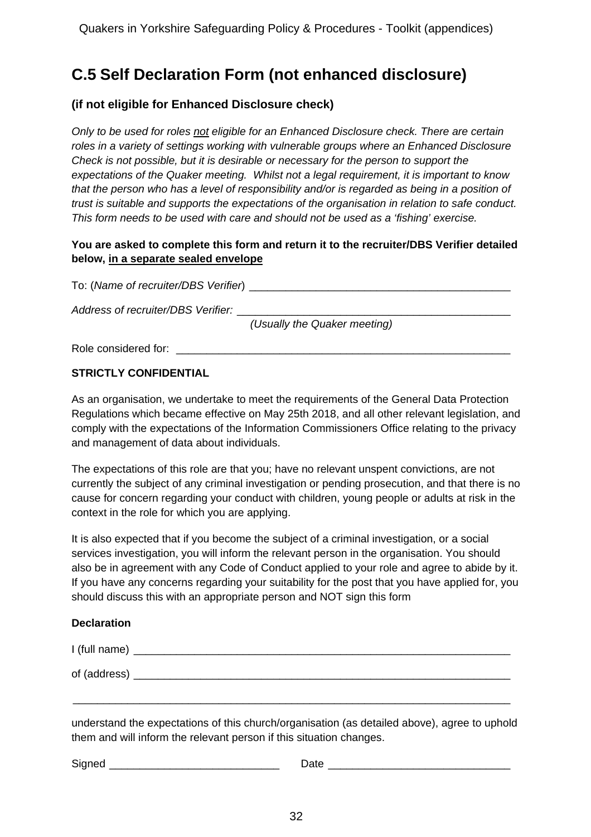# **C.5 Self Declaration Form (not enhanced disclosure)**

#### **(if not eligible for Enhanced Disclosure check)**

*Only to be used for roles not eligible for an Enhanced Disclosure check. There are certain roles in a variety of settings working with vulnerable groups where an Enhanced Disclosure Check is not possible, but it is desirable or necessary for the person to support the expectations of the Quaker meeting. Whilst not a legal requirement, it is important to know that the person who has a level of responsibility and/or is regarded as being in a position of trust is suitable and supports the expectations of the organisation in relation to safe conduct. This form needs to be used with care and should not be used as a 'fishing' exercise.* 

#### **You are asked to complete this form and return it to the recruiter/DBS Verifier detailed below, in a separate sealed envelope**

| To: (Name of recruiter/DBS Verifier) _____ |                              |
|--------------------------------------------|------------------------------|
| Address of recruiter/DBS Verifier:         |                              |
|                                            | (Usually the Quaker meeting) |
| Role considered for:                       |                              |

#### **STRICTLY CONFIDENTIAL**

As an organisation, we undertake to meet the requirements of the General Data Protection Regulations which became effective on May 25th 2018, and all other relevant legislation, and comply with the expectations of the Information Commissioners Office relating to the privacy and management of data about individuals.

The expectations of this role are that you; have no relevant unspent convictions, are not currently the subject of any criminal investigation or pending prosecution, and that there is no cause for concern regarding your conduct with children, young people or adults at risk in the context in the role for which you are applying.

It is also expected that if you become the subject of a criminal investigation, or a social services investigation, you will inform the relevant person in the organisation. You should also be in agreement with any Code of Conduct applied to your role and agree to abide by it. If you have any concerns regarding your suitability for the post that you have applied for, you should discuss this with an appropriate person and NOT sign this form

#### **Declaration**

| I (full name) |  |
|---------------|--|
| of (address)  |  |

\_\_\_\_\_\_\_\_\_\_\_\_\_\_\_\_\_\_\_\_\_\_\_\_\_\_\_\_\_\_\_\_\_\_\_\_\_\_\_\_\_\_\_\_\_\_\_\_\_\_\_\_\_\_\_\_\_\_\_\_\_\_\_\_\_\_\_\_\_\_\_\_

understand the expectations of this church/organisation (as detailed above), agree to uphold them and will inform the relevant person if this situation changes.

Signed \_\_\_\_\_\_\_\_\_\_\_\_\_\_\_\_\_\_\_\_\_\_\_\_\_\_\_\_ Date \_\_\_\_\_\_\_\_\_\_\_\_\_\_\_\_\_\_\_\_\_\_\_\_\_\_\_\_\_\_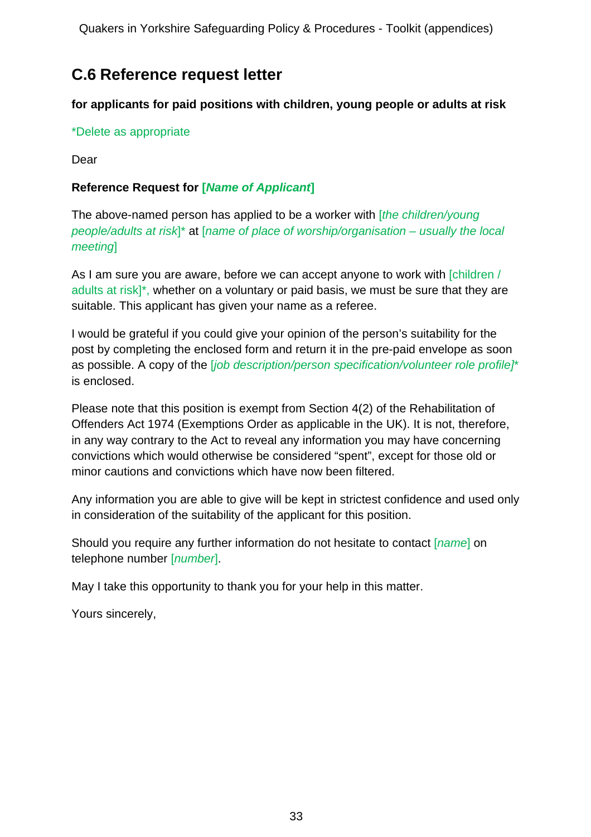# **C.6 Reference request letter**

## **for applicants for paid positions with children, young people or adults at risk**

#### \*Delete as appropriate

Dear

# **Reference Request for [***Name of Applicant***]**

The above-named person has applied to be a worker with [*the children/young people/adults at risk*]\* at [*name of place of worship/organisation – usually the local meeting*]

As I am sure you are aware, before we can accept anyone to work with [children / adults at risk]\*, whether on a voluntary or paid basis, we must be sure that they are suitable. This applicant has given your name as a referee.

I would be grateful if you could give your opinion of the person's suitability for the post by completing the enclosed form and return it in the pre-paid envelope as soon as possible. A copy of the [*job description/person specification/volunteer role profile]*\* is enclosed.

Please note that this position is exempt from Section 4(2) of the Rehabilitation of Offenders Act 1974 (Exemptions Order as applicable in the UK). It is not, therefore, in any way contrary to the Act to reveal any information you may have concerning convictions which would otherwise be considered "spent", except for those old or minor cautions and convictions which have now been filtered.

Any information you are able to give will be kept in strictest confidence and used only in consideration of the suitability of the applicant for this position.

Should you require any further information do not hesitate to contact [*name*] on telephone number [*number*].

May I take this opportunity to thank you for your help in this matter.

Yours sincerely,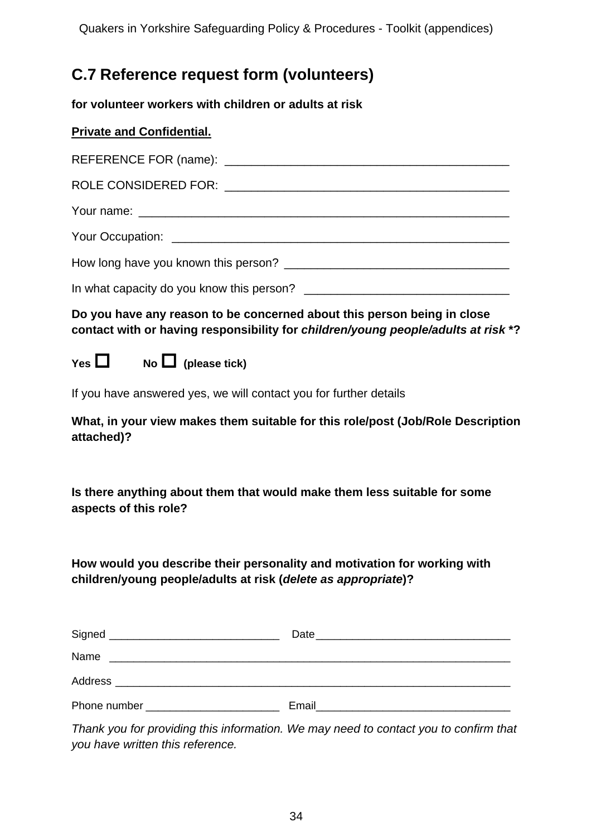# **C.7 Reference request form (volunteers)**

**for volunteer workers with children or adults at risk** 

#### **Private and Confidential.**

| How long have you known this person?      |
|-------------------------------------------|
| In what capacity do you know this person? |

**Do you have any reason to be concerned about this person being in close contact with or having responsibility for** *children/young people/adults at risk* **\*?** 

# $Yes \Box \qquad No \Box$  (please tick)

If you have answered yes, we will contact you for further details

#### **What, in your view makes them suitable for this role/post (Job/Role Description attached)?**

**Is there anything about them that would make them less suitable for some aspects of this role?** 

## **How would you describe their personality and motivation for working with children/young people/adults at risk (***delete as appropriate***)?**

| Name |                                                                                                                                |
|------|--------------------------------------------------------------------------------------------------------------------------------|
|      |                                                                                                                                |
|      | Email<br><u> 1989 - Jan Samuel Barbara, margaret e populazion del control de la provincia del control de la provincia del </u> |

*Thank you for providing this information. We may need to contact you to confirm that you have written this reference.*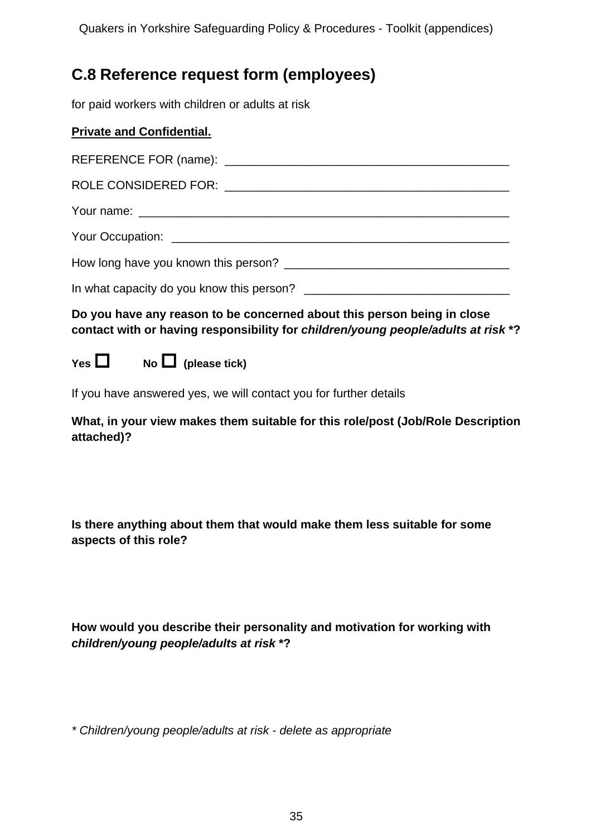# **C.8 Reference request form (employees)**

for paid workers with children or adults at risk

#### **Private and Confidential.**

| How long have you known this person? |  |
|--------------------------------------|--|
|                                      |  |

**Do you have any reason to be concerned about this person being in close contact with or having responsibility for** *children/young people/adults at risk* **\*?** 



If you have answered yes, we will contact you for further details

#### **What, in your view makes them suitable for this role/post (Job/Role Description attached)?**

**Is there anything about them that would make them less suitable for some aspects of this role?** 

**How would you describe their personality and motivation for working with**  *children/young people/adults at risk* **\*?** 

*\* Children/young people/adults at risk - delete as appropriate*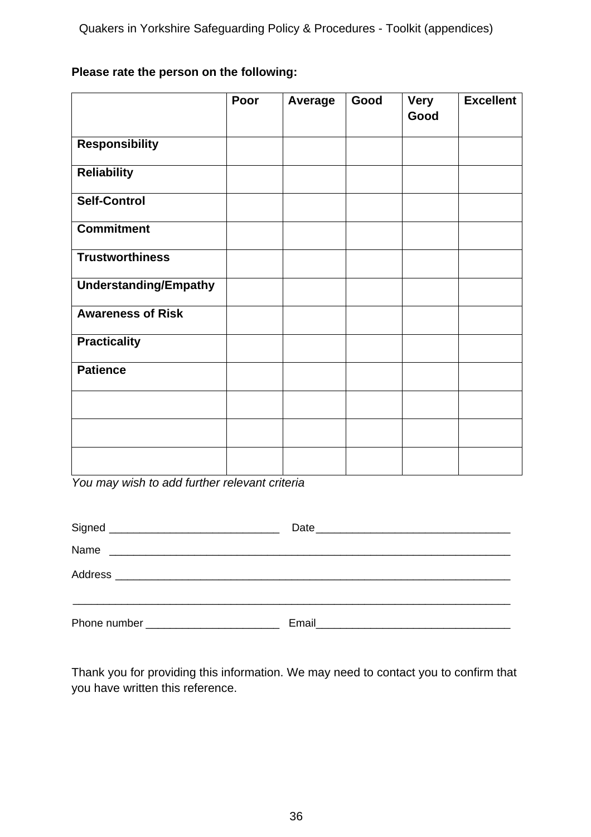#### **Please rate the person on the following:**

|                              | Poor | Average | Good | <b>Very</b><br>Good | <b>Excellent</b> |
|------------------------------|------|---------|------|---------------------|------------------|
| <b>Responsibility</b>        |      |         |      |                     |                  |
| <b>Reliability</b>           |      |         |      |                     |                  |
| <b>Self-Control</b>          |      |         |      |                     |                  |
| <b>Commitment</b>            |      |         |      |                     |                  |
| <b>Trustworthiness</b>       |      |         |      |                     |                  |
| <b>Understanding/Empathy</b> |      |         |      |                     |                  |
| <b>Awareness of Risk</b>     |      |         |      |                     |                  |
| <b>Practicality</b>          |      |         |      |                     |                  |
| <b>Patience</b>              |      |         |      |                     |                  |
|                              |      |         |      |                     |                  |
|                              |      |         |      |                     |                  |
|                              |      |         |      |                     |                  |

*You may wish to add further relevant criteria* 

| Name |       |  |
|------|-------|--|
|      |       |  |
|      | Email |  |

Thank you for providing this information. We may need to contact you to confirm that you have written this reference.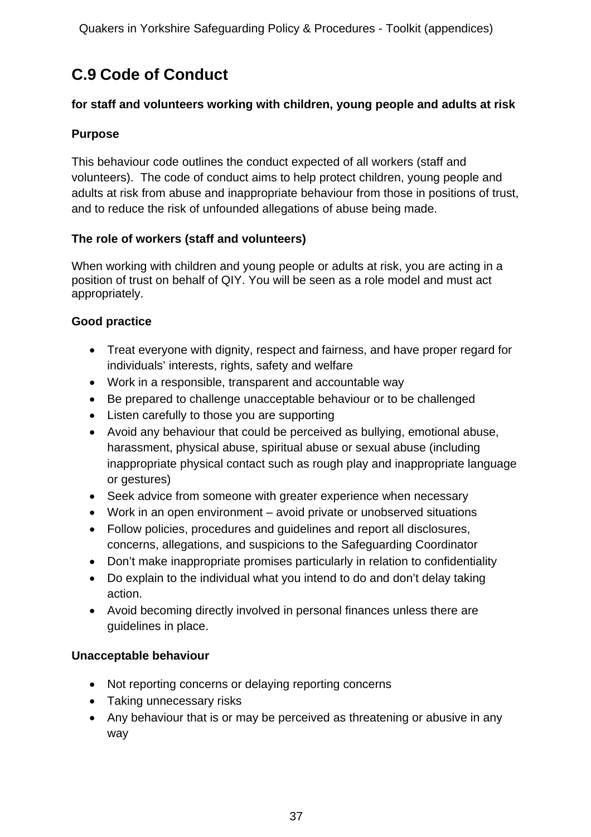# **C.9 Code of Conduct**

## **for staff and volunteers working with children, young people and adults at risk**

# **Purpose**

This behaviour code outlines the conduct expected of all workers (staff and volunteers). The code of conduct aims to help protect children, young people and adults at risk from abuse and inappropriate behaviour from those in positions of trust, and to reduce the risk of unfounded allegations of abuse being made.

# **The role of workers (staff and volunteers)**

When working with children and young people or adults at risk, you are acting in a position of trust on behalf of QIY. You will be seen as a role model and must act appropriately.

# **Good practice**

- Treat everyone with dignity, respect and fairness, and have proper regard for individuals' interests, rights, safety and welfare
- Work in a responsible, transparent and accountable way
- Be prepared to challenge unacceptable behaviour or to be challenged
- Listen carefully to those you are supporting
- Avoid any behaviour that could be perceived as bullying, emotional abuse, harassment, physical abuse, spiritual abuse or sexual abuse (including inappropriate physical contact such as rough play and inappropriate language or gestures)
- Seek advice from someone with greater experience when necessary
- Work in an open environment avoid private or unobserved situations
- Follow policies, procedures and guidelines and report all disclosures, concerns, allegations, and suspicions to the Safeguarding Coordinator
- Don't make inappropriate promises particularly in relation to confidentiality
- Do explain to the individual what you intend to do and don't delay taking action.
- Avoid becoming directly involved in personal finances unless there are guidelines in place.

# **Unacceptable behaviour**

- Not reporting concerns or delaying reporting concerns
- Taking unnecessary risks
- Any behaviour that is or may be perceived as threatening or abusive in any way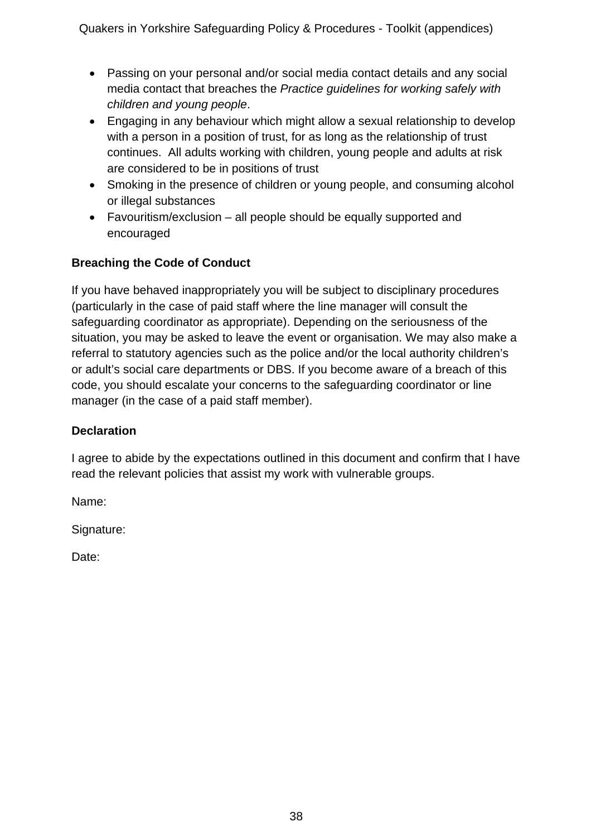- Passing on your personal and/or social media contact details and any social media contact that breaches the *Practice guidelines for working safely with children and young people*.
- Engaging in any behaviour which might allow a sexual relationship to develop with a person in a position of trust, for as long as the relationship of trust continues. All adults working with children, young people and adults at risk are considered to be in positions of trust
- Smoking in the presence of children or young people, and consuming alcohol or illegal substances
- Favouritism/exclusion all people should be equally supported and encouraged

# **Breaching the Code of Conduct**

If you have behaved inappropriately you will be subject to disciplinary procedures (particularly in the case of paid staff where the line manager will consult the safeguarding coordinator as appropriate). Depending on the seriousness of the situation, you may be asked to leave the event or organisation. We may also make a referral to statutory agencies such as the police and/or the local authority children's or adult's social care departments or DBS. If you become aware of a breach of this code, you should escalate your concerns to the safeguarding coordinator or line manager (in the case of a paid staff member).

# **Declaration**

I agree to abide by the expectations outlined in this document and confirm that I have read the relevant policies that assist my work with vulnerable groups.

Name:

Signature:

Date: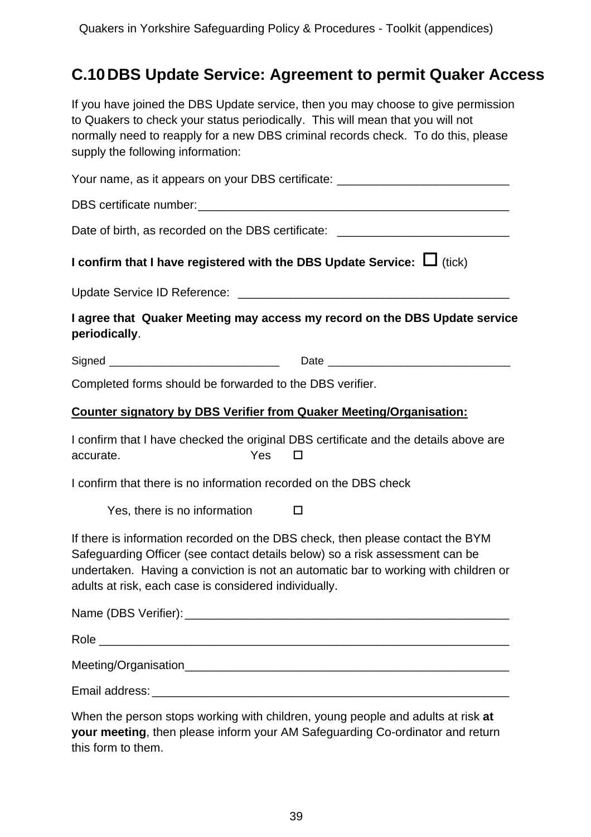# **C.10 DBS Update Service: Agreement to permit Quaker Access**

If you have joined the DBS Update service, then you may choose to give permission to Quakers to check your status periodically. This will mean that you will not normally need to reapply for a new DBS criminal records check. To do this, please supply the following information:

Your name, as it appears on your DBS certificate: DBS certificate number: **Example 1** and the set of the set of the set of the set of the set of the set of the set of the set of the set of the set of the set of the set of the set of the set of the set of the set of the se Date of birth, as recorded on the DBS certificate: **I confirm that I have registered with the DBS Update Service:**  $\Box$  (tick) Update Service ID Reference: \_\_\_\_\_\_\_\_\_\_\_\_\_\_\_\_\_\_\_\_\_\_\_\_\_\_\_\_\_\_\_\_\_\_\_\_\_\_\_\_\_ **I agree that Quaker Meeting may access my record on the DBS Update service periodically**. Signed \_\_\_\_\_\_\_\_\_\_\_\_\_\_\_\_\_\_\_\_\_\_\_\_\_\_\_\_ Date \_\_\_\_\_\_\_\_\_\_\_\_\_\_\_\_\_\_\_\_\_\_\_\_\_\_\_\_\_\_ Completed forms should be forwarded to the DBS verifier. **Counter signatory by DBS Verifier from Quaker Meeting/Organisation:**  I confirm that I have checked the original DBS certificate and the details above are accurate. The Yes □ I confirm that there is no information recorded on the DBS check Yes, there is no information  $\square$ If there is information recorded on the DBS check, then please contact the BYM Safeguarding Officer (see contact details below) so a risk assessment can be undertaken. Having a conviction is not an automatic bar to working with children or adults at risk, each case is considered individually. Name (DBS Verifier): \_\_\_\_\_\_\_\_\_\_\_\_\_\_\_\_\_\_\_\_\_\_\_\_\_\_\_\_\_\_\_\_\_\_\_\_\_\_\_\_\_\_\_\_\_\_\_\_\_ Role \_\_\_\_\_\_\_\_\_\_\_\_\_\_\_\_\_\_\_\_\_\_\_\_\_\_\_\_\_\_\_\_\_\_\_\_\_\_\_\_\_\_\_\_\_\_\_\_\_\_\_\_\_\_\_\_\_\_\_\_\_\_ Meeting/Organisation \_\_\_\_\_\_\_\_\_\_\_\_\_\_\_\_\_\_\_\_\_\_\_\_\_\_\_\_\_\_\_\_\_\_\_\_\_\_\_\_\_\_\_\_\_\_\_\_\_ Email address:

When the person stops working with children, young people and adults at risk **at your meeting**, then please inform your AM Safeguarding Co-ordinator and return this form to them.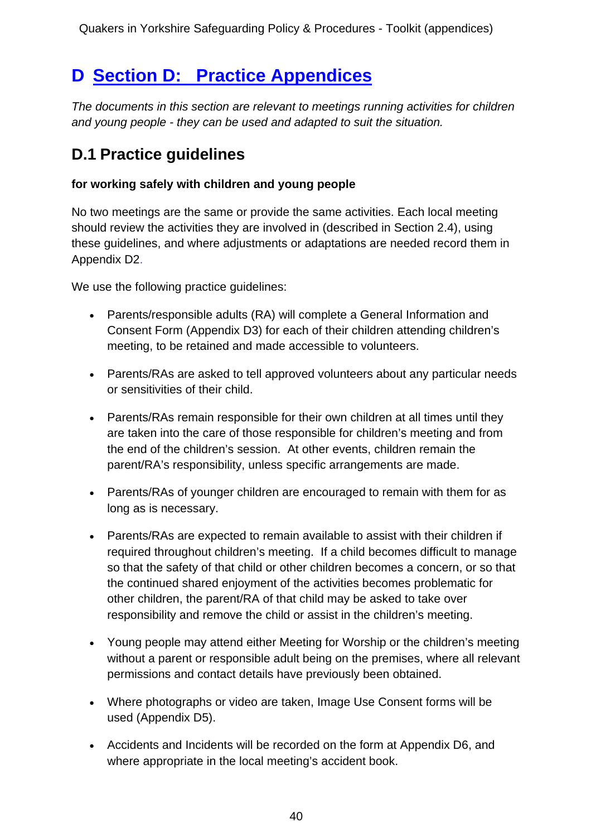# **D Section D: Practice Appendices**

*The documents in this section are relevant to meetings running activities for children and young people - they can be used and adapted to suit the situation.* 

# **D.1 Practice guidelines**

## **for working safely with children and young people**

No two meetings are the same or provide the same activities. Each local meeting should review the activities they are involved in (described in Section 2.4), using these guidelines, and where adjustments or adaptations are needed record them in Appendix D2.

We use the following practice guidelines:

- Parents/responsible adults (RA) will complete a General Information and Consent Form (Appendix D3) for each of their children attending children's meeting, to be retained and made accessible to volunteers.
- Parents/RAs are asked to tell approved volunteers about any particular needs or sensitivities of their child.
- Parents/RAs remain responsible for their own children at all times until they are taken into the care of those responsible for children's meeting and from the end of the children's session. At other events, children remain the parent/RA's responsibility, unless specific arrangements are made.
- Parents/RAs of younger children are encouraged to remain with them for as long as is necessary.
- Parents/RAs are expected to remain available to assist with their children if required throughout children's meeting. If a child becomes difficult to manage so that the safety of that child or other children becomes a concern, or so that the continued shared enjoyment of the activities becomes problematic for other children, the parent/RA of that child may be asked to take over responsibility and remove the child or assist in the children's meeting.
- Young people may attend either Meeting for Worship or the children's meeting without a parent or responsible adult being on the premises, where all relevant permissions and contact details have previously been obtained.
- Where photographs or video are taken, Image Use Consent forms will be used (Appendix D5).
- Accidents and Incidents will be recorded on the form at Appendix D6, and where appropriate in the local meeting's accident book.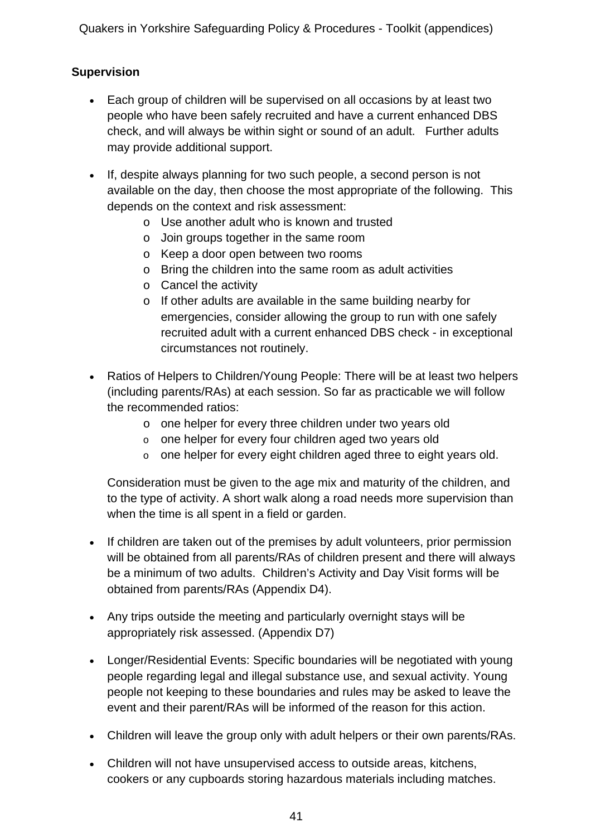## **Supervision**

- Each group of children will be supervised on all occasions by at least two people who have been safely recruited and have a current enhanced DBS check, and will always be within sight or sound of an adult. Further adults may provide additional support.
- If, despite always planning for two such people, a second person is not available on the day, then choose the most appropriate of the following. This depends on the context and risk assessment:
	- o Use another adult who is known and trusted
	- o Join groups together in the same room
	- o Keep a door open between two rooms
	- o Bring the children into the same room as adult activities
	- o Cancel the activity
	- o If other adults are available in the same building nearby for emergencies, consider allowing the group to run with one safely recruited adult with a current enhanced DBS check - in exceptional circumstances not routinely.
- Ratios of Helpers to Children/Young People: There will be at least two helpers (including parents/RAs) at each session. So far as practicable we will follow the recommended ratios:
	- o one helper for every three children under two years old
	- o one helper for every four children aged two years old
	- o one helper for every eight children aged three to eight years old.

Consideration must be given to the age mix and maturity of the children, and to the type of activity. A short walk along a road needs more supervision than when the time is all spent in a field or garden.

- If children are taken out of the premises by adult volunteers, prior permission will be obtained from all parents/RAs of children present and there will always be a minimum of two adults. Children's Activity and Day Visit forms will be obtained from parents/RAs (Appendix D4).
- Any trips outside the meeting and particularly overnight stays will be appropriately risk assessed. (Appendix D7)
- Longer/Residential Events: Specific boundaries will be negotiated with young people regarding legal and illegal substance use, and sexual activity. Young people not keeping to these boundaries and rules may be asked to leave the event and their parent/RAs will be informed of the reason for this action.
- Children will leave the group only with adult helpers or their own parents/RAs.
- Children will not have unsupervised access to outside areas, kitchens, cookers or any cupboards storing hazardous materials including matches.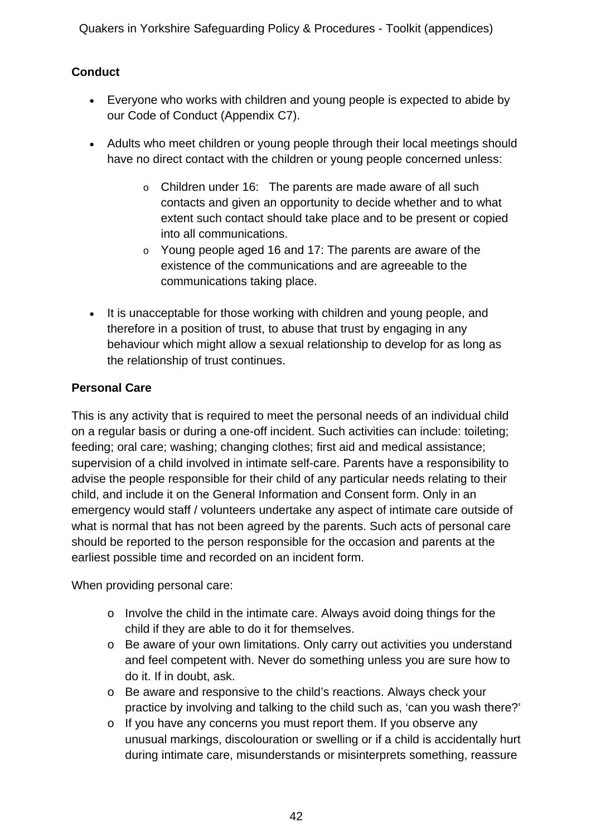## **Conduct**

- Everyone who works with children and young people is expected to abide by our Code of Conduct (Appendix C7).
- Adults who meet children or young people through their local meetings should have no direct contact with the children or young people concerned unless:
	- o Children under 16: The parents are made aware of all such contacts and given an opportunity to decide whether and to what extent such contact should take place and to be present or copied into all communications.
	- o Young people aged 16 and 17: The parents are aware of the existence of the communications and are agreeable to the communications taking place.
- It is unacceptable for those working with children and young people, and therefore in a position of trust, to abuse that trust by engaging in any behaviour which might allow a sexual relationship to develop for as long as the relationship of trust continues.

## **Personal Care**

This is any activity that is required to meet the personal needs of an individual child on a regular basis or during a one-off incident. Such activities can include: toileting; feeding; oral care; washing; changing clothes; first aid and medical assistance; supervision of a child involved in intimate self-care. Parents have a responsibility to advise the people responsible for their child of any particular needs relating to their child, and include it on the General Information and Consent form. Only in an emergency would staff / volunteers undertake any aspect of intimate care outside of what is normal that has not been agreed by the parents. Such acts of personal care should be reported to the person responsible for the occasion and parents at the earliest possible time and recorded on an incident form.

When providing personal care:

- o Involve the child in the intimate care. Always avoid doing things for the child if they are able to do it for themselves.
- o Be aware of your own limitations. Only carry out activities you understand and feel competent with. Never do something unless you are sure how to do it. If in doubt, ask.
- o Be aware and responsive to the child's reactions. Always check your practice by involving and talking to the child such as, 'can you wash there?'
- o If you have any concerns you must report them. If you observe any unusual markings, discolouration or swelling or if a child is accidentally hurt during intimate care, misunderstands or misinterprets something, reassure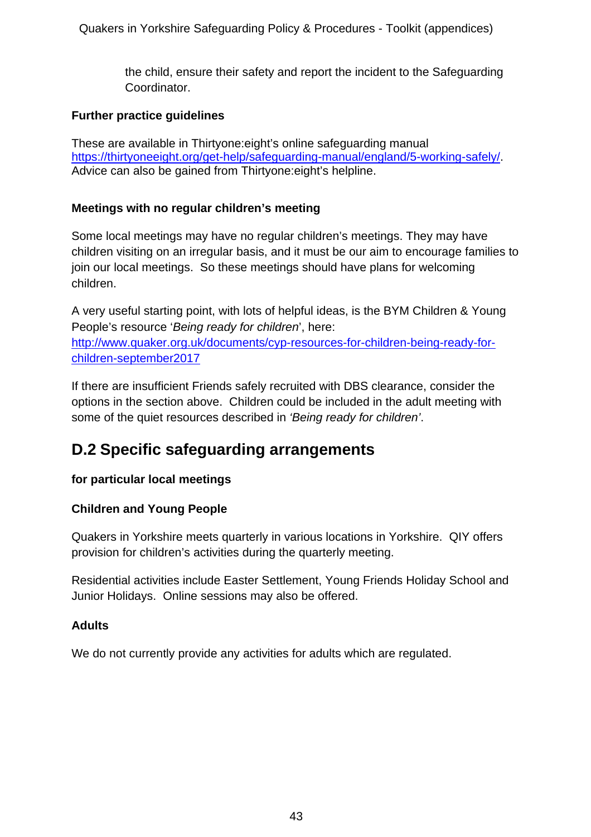the child, ensure their safety and report the incident to the Safeguarding Coordinator.

#### **Further practice guidelines**

These are available in Thirtyone:eight's online safeguarding manual https://thirtyoneeight.org/get-help/safeguarding-manual/england/5-working-safely/. Advice can also be gained from Thirtyone:eight's helpline.

### **Meetings with no regular children's meeting**

Some local meetings may have no regular children's meetings. They may have children visiting on an irregular basis, and it must be our aim to encourage families to join our local meetings. So these meetings should have plans for welcoming children.

A very useful starting point, with lots of helpful ideas, is the BYM Children & Young People's resource '*Being ready for children*', here: http://www.quaker.org.uk/documents/cyp-resources-for-children-being-ready-forchildren-september2017

If there are insufficient Friends safely recruited with DBS clearance, consider the options in the section above. Children could be included in the adult meeting with some of the quiet resources described in *'Being ready for children'*.

# **D.2 Specific safeguarding arrangements**

## **for particular local meetings**

## **Children and Young People**

Quakers in Yorkshire meets quarterly in various locations in Yorkshire. QIY offers provision for children's activities during the quarterly meeting.

Residential activities include Easter Settlement, Young Friends Holiday School and Junior Holidays. Online sessions may also be offered.

#### **Adults**

We do not currently provide any activities for adults which are regulated.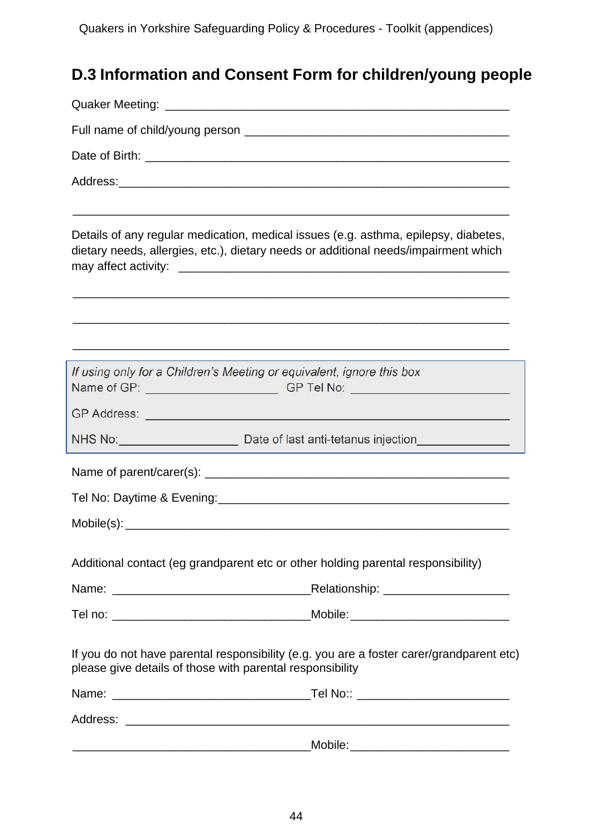# **D.3 Information and Consent Form for children/young people**

| Details of any regular medication, medical issues (e.g. asthma, epilepsy, diabetes,<br>dietary needs, allergies, etc.), dietary needs or additional needs/impairment which |                                           |
|----------------------------------------------------------------------------------------------------------------------------------------------------------------------------|-------------------------------------------|
| <u> 1980 - An Dùbhlachd an Dùbhlachd ann an Dùbhlachd ann an Dùbhlachd ann an Dùbhlachd ann an Dùbhlachd ann an Dù</u>                                                     |                                           |
| If using only for a Children's Meeting or equivalent, ignore this box<br>Name of GP: _______________________________GP Tel No: __________________________                  |                                           |
|                                                                                                                                                                            |                                           |
|                                                                                                                                                                            |                                           |
|                                                                                                                                                                            |                                           |
|                                                                                                                                                                            |                                           |
|                                                                                                                                                                            |                                           |
| Additional contact (eg grandparent etc or other holding parental responsibility)                                                                                           |                                           |
|                                                                                                                                                                            |                                           |
|                                                                                                                                                                            |                                           |
| If you do not have parental responsibility (e.g. you are a foster carer/grandparent etc)<br>please give details of those with parental responsibility                      |                                           |
|                                                                                                                                                                            |                                           |
|                                                                                                                                                                            |                                           |
|                                                                                                                                                                            | _Mobile: ________________________________ |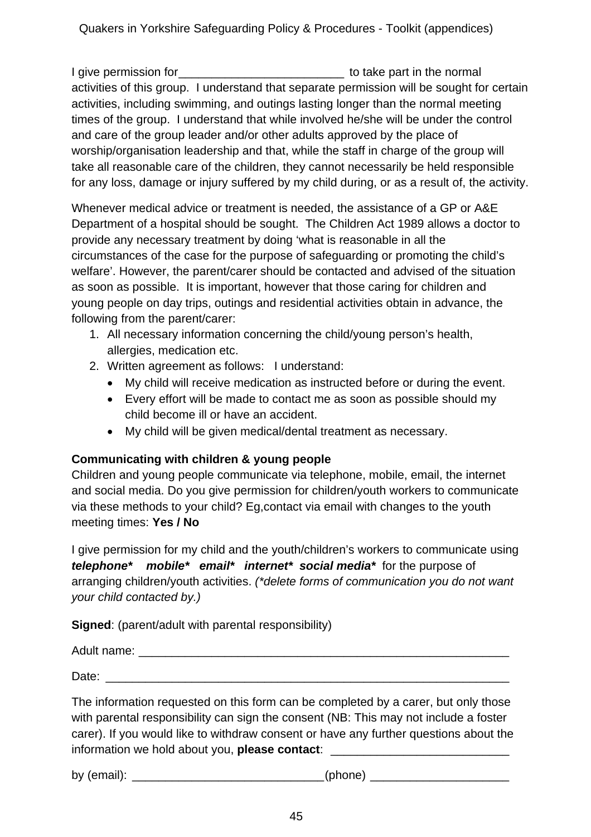I give permission for **I** all the normal activities of this group. I understand that separate permission will be sought for certain activities, including swimming, and outings lasting longer than the normal meeting times of the group. I understand that while involved he/she will be under the control and care of the group leader and/or other adults approved by the place of worship/organisation leadership and that, while the staff in charge of the group will take all reasonable care of the children, they cannot necessarily be held responsible for any loss, damage or injury suffered by my child during, or as a result of, the activity.

Whenever medical advice or treatment is needed, the assistance of a GP or A&E Department of a hospital should be sought. The Children Act 1989 allows a doctor to provide any necessary treatment by doing 'what is reasonable in all the circumstances of the case for the purpose of safeguarding or promoting the child's welfare'. However, the parent/carer should be contacted and advised of the situation as soon as possible. It is important, however that those caring for children and young people on day trips, outings and residential activities obtain in advance, the following from the parent/carer:

- 1. All necessary information concerning the child/young person's health, allergies, medication etc.
- 2. Written agreement as follows: I understand:
	- My child will receive medication as instructed before or during the event.
	- Every effort will be made to contact me as soon as possible should my child become ill or have an accident.
	- My child will be given medical/dental treatment as necessary.

## **Communicating with children & young people**

Children and young people communicate via telephone, mobile, email, the internet and social media. Do you give permission for children/youth workers to communicate via these methods to your child? Eg,contact via email with changes to the youth meeting times: **Yes / No**

I give permission for my child and the youth/children's workers to communicate using *telephone\* mobile\* email\* internet\* social media\** for the purpose of arranging children/youth activities. *(\*delete forms of communication you do not want your child contacted by.)*

**Signed:** (parent/adult with parental responsibility)

Adult name: \_\_\_\_\_\_\_\_\_\_\_\_\_\_\_\_\_\_\_\_\_\_\_\_\_\_\_\_\_\_\_\_\_\_\_\_\_\_\_\_\_\_\_\_\_\_\_\_\_\_\_\_\_\_\_\_

Date:

The information requested on this form can be completed by a carer, but only those with parental responsibility can sign the consent (NB: This may not include a foster carer). If you would like to withdraw consent or have any further questions about the information we hold about you, **please contact**:

by (email): \_\_\_\_\_\_\_\_\_\_\_\_\_\_\_\_\_\_\_\_\_\_\_\_\_\_\_\_\_ (phone) \_\_\_\_\_\_\_\_\_\_\_\_\_\_\_\_\_\_\_\_\_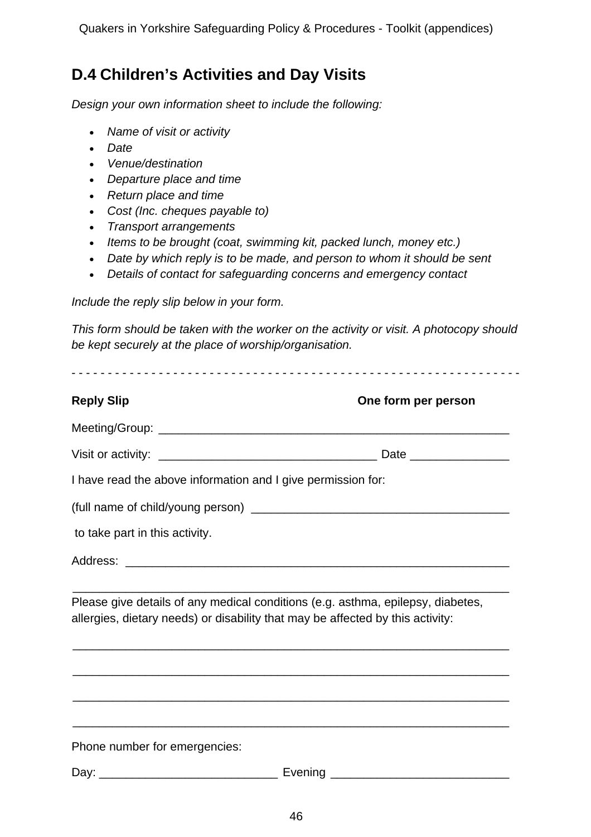# **D.4 Children's Activities and Day Visits**

*Design your own information sheet to include the following:* 

- *Name of visit or activity*
- *Date*
- *Venue/destination*
- *Departure place and time*
- *Return place and time*
- *Cost (Inc. cheques payable to)*
- *Transport arrangements*
- *Items to be brought (coat, swimming kit, packed lunch, money etc.)*
- *Date by which reply is to be made, and person to whom it should be sent*
- *Details of contact for safeguarding concerns and emergency contact*

*Include the reply slip below in your form.* 

*This form should be taken with the worker on the activity or visit. A photocopy should be kept securely at the place of worship/organisation.* 

| <b>Reply Slip</b>                                            | One form per person                                                                                                                                               |
|--------------------------------------------------------------|-------------------------------------------------------------------------------------------------------------------------------------------------------------------|
|                                                              |                                                                                                                                                                   |
|                                                              |                                                                                                                                                                   |
| I have read the above information and I give permission for: |                                                                                                                                                                   |
|                                                              |                                                                                                                                                                   |
| to take part in this activity.                               |                                                                                                                                                                   |
|                                                              |                                                                                                                                                                   |
|                                                              | Please give details of any medical conditions (e.g. asthma, epilepsy, diabetes,<br>allergies, dietary needs) or disability that may be affected by this activity: |
|                                                              |                                                                                                                                                                   |
|                                                              |                                                                                                                                                                   |
| Phone number for emergencies:                                |                                                                                                                                                                   |
|                                                              |                                                                                                                                                                   |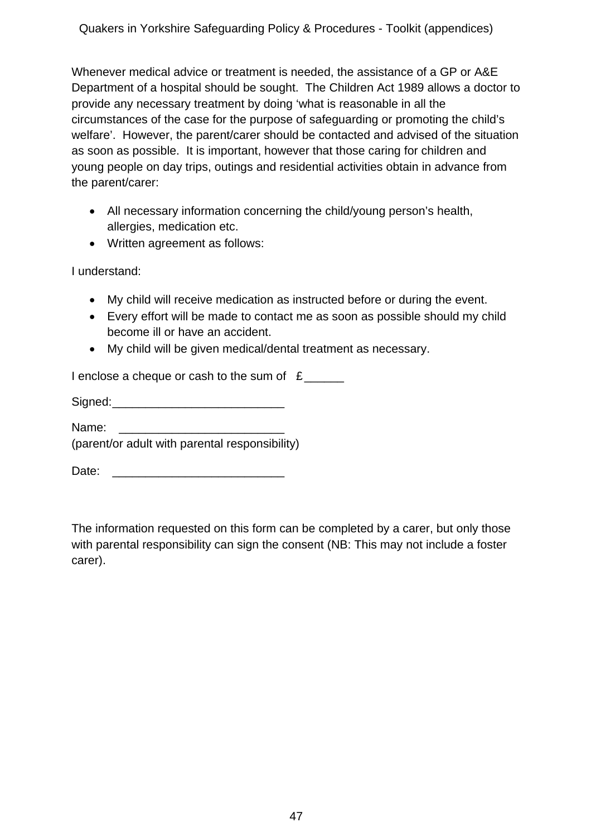Whenever medical advice or treatment is needed, the assistance of a GP or A&E Department of a hospital should be sought. The Children Act 1989 allows a doctor to provide any necessary treatment by doing 'what is reasonable in all the circumstances of the case for the purpose of safeguarding or promoting the child's welfare'. However, the parent/carer should be contacted and advised of the situation as soon as possible. It is important, however that those caring for children and young people on day trips, outings and residential activities obtain in advance from the parent/carer:

- All necessary information concerning the child/young person's health, allergies, medication etc.
- Written agreement as follows:

I understand:

- My child will receive medication as instructed before or during the event.
- Every effort will be made to contact me as soon as possible should my child become ill or have an accident.
- My child will be given medical/dental treatment as necessary.

I enclose a cheque or cash to the sum of  $\epsilon$ 

Signed:  $\Box$ 

Name:  $\Box$ 

(parent/or adult with parental responsibility)

Date: \_\_\_\_\_\_\_\_\_\_\_\_\_\_\_\_\_\_\_\_\_\_\_\_\_\_

The information requested on this form can be completed by a carer, but only those with parental responsibility can sign the consent (NB: This may not include a foster carer).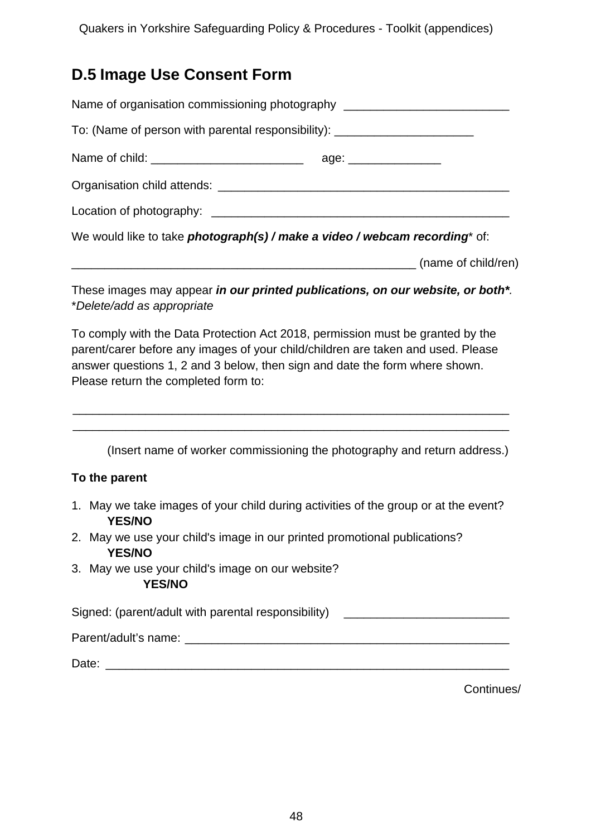# **D.5 Image Use Consent Form**

|                                                                   | Name of organisation commissioning photography _________________________________                                                                                                                                                                  |
|-------------------------------------------------------------------|---------------------------------------------------------------------------------------------------------------------------------------------------------------------------------------------------------------------------------------------------|
|                                                                   | To: (Name of person with parental responsibility): _____________________________                                                                                                                                                                  |
|                                                                   |                                                                                                                                                                                                                                                   |
|                                                                   |                                                                                                                                                                                                                                                   |
|                                                                   |                                                                                                                                                                                                                                                   |
|                                                                   | We would like to take <i>photograph(s) / make a video / webcam recording</i> * of:                                                                                                                                                                |
|                                                                   |                                                                                                                                                                                                                                                   |
| *Delete/add as appropriate                                        | These images may appear in our printed publications, on our website, or both*.                                                                                                                                                                    |
| Please return the completed form to:                              | To comply with the Data Protection Act 2018, permission must be granted by the<br>parent/carer before any images of your child/children are taken and used. Please<br>answer questions 1, 2 and 3 below, then sign and date the form where shown. |
|                                                                   | (Insert name of worker commissioning the photography and return address.)                                                                                                                                                                         |
| To the parent                                                     |                                                                                                                                                                                                                                                   |
| <b>YES/NO</b>                                                     | 1. May we take images of your child during activities of the group or at the event?                                                                                                                                                               |
| <b>YES/NO</b>                                                     | 2. May we use your child's image in our printed promotional publications?                                                                                                                                                                         |
| 3. May we use your child's image on our website?<br><b>YES/NO</b> |                                                                                                                                                                                                                                                   |
|                                                                   | Signed: (parent/adult with parental responsibility) ____________________________                                                                                                                                                                  |
|                                                                   |                                                                                                                                                                                                                                                   |
|                                                                   |                                                                                                                                                                                                                                                   |
|                                                                   | Continues/                                                                                                                                                                                                                                        |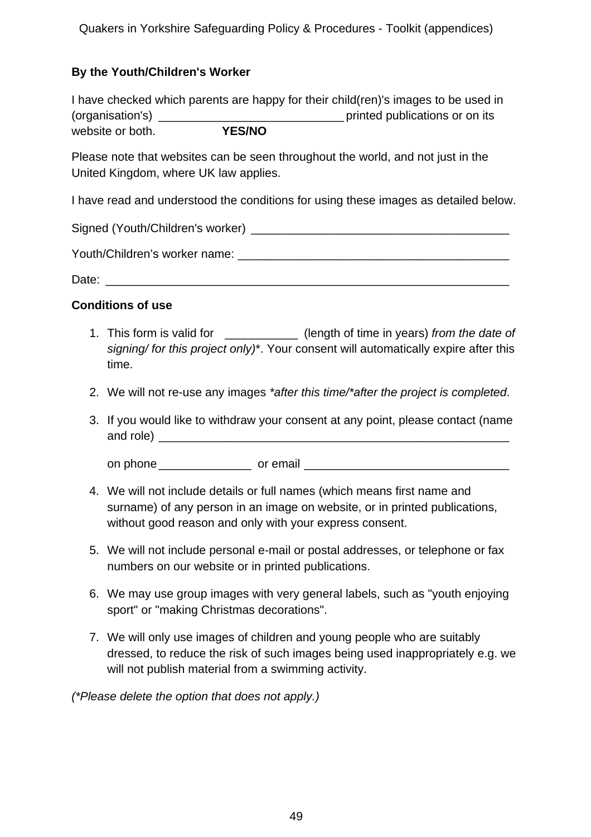## **By the Youth/Children's Worker**

I have checked which parents are happy for their child(ren)'s images to be used in (organisation's) and the printed publications or on its website or both. **YES/NO**

Please note that websites can be seen throughout the world, and not just in the United Kingdom, where UK law applies.

I have read and understood the conditions for using these images as detailed below.

Signed (Youth/Children's worker) \_\_\_\_\_\_\_\_\_\_\_\_\_\_\_\_\_\_\_\_\_\_\_\_\_\_\_\_\_\_\_\_\_\_\_\_\_\_\_ Youth/Children's worker name:

Date:

#### **Conditions of use**

- 1. This form is valid for \_\_\_\_\_\_\_\_\_\_\_ (length of time in years) *from the date of signing/ for this project only)*\*. Your consent will automatically expire after this time.
- 2. We will not re-use any images *\*after this time/\*after the project is completed*.
- 3. If you would like to withdraw your consent at any point, please contact (name and role) **and** role and  $\overline{a}$

on phone example or email and  $\alpha$  email  $\alpha$ 

- 4. We will not include details or full names (which means first name and surname) of any person in an image on website, or in printed publications, without good reason and only with your express consent.
- 5. We will not include personal e-mail or postal addresses, or telephone or fax numbers on our website or in printed publications.
- 6. We may use group images with very general labels, such as "youth enjoying sport" or "making Christmas decorations".
- 7. We will only use images of children and young people who are suitably dressed, to reduce the risk of such images being used inappropriately e.g. we will not publish material from a swimming activity.

*(\*Please delete the option that does not apply.)*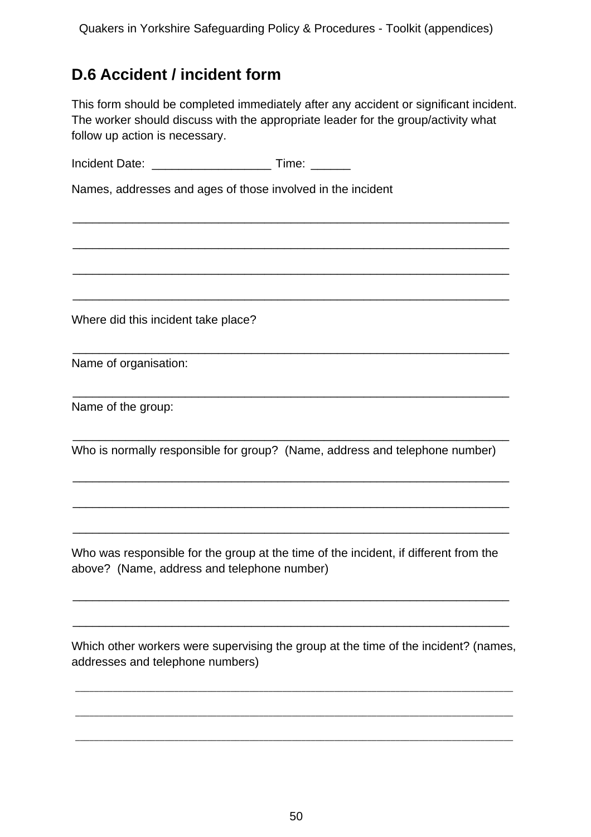# **D.6 Accident / incident form**

This form should be completed immediately after any accident or significant incident. The worker should discuss with the appropriate leader for the group/activity what follow up action is necessary.

\_\_\_\_\_\_\_\_\_\_\_\_\_\_\_\_\_\_\_\_\_\_\_\_\_\_\_\_\_\_\_\_\_\_\_\_\_\_\_\_\_\_\_\_\_\_\_\_\_\_\_\_\_\_\_\_\_\_\_\_\_\_\_\_\_\_

\_\_\_\_\_\_\_\_\_\_\_\_\_\_\_\_\_\_\_\_\_\_\_\_\_\_\_\_\_\_\_\_\_\_\_\_\_\_\_\_\_\_\_\_\_\_\_\_\_\_\_\_\_\_\_\_\_\_\_\_\_\_\_\_\_\_

\_\_\_\_\_\_\_\_\_\_\_\_\_\_\_\_\_\_\_\_\_\_\_\_\_\_\_\_\_\_\_\_\_\_\_\_\_\_\_\_\_\_\_\_\_\_\_\_\_\_\_\_\_\_\_\_\_\_\_\_\_\_\_\_\_\_

\_\_\_\_\_\_\_\_\_\_\_\_\_\_\_\_\_\_\_\_\_\_\_\_\_\_\_\_\_\_\_\_\_\_\_\_\_\_\_\_\_\_\_\_\_\_\_\_\_\_\_\_\_\_\_\_\_\_\_\_\_\_\_\_\_\_

\_\_\_\_\_\_\_\_\_\_\_\_\_\_\_\_\_\_\_\_\_\_\_\_\_\_\_\_\_\_\_\_\_\_\_\_\_\_\_\_\_\_\_\_\_\_\_\_\_\_\_\_\_\_\_\_\_\_\_\_\_\_\_\_\_\_

\_\_\_\_\_\_\_\_\_\_\_\_\_\_\_\_\_\_\_\_\_\_\_\_\_\_\_\_\_\_\_\_\_\_\_\_\_\_\_\_\_\_\_\_\_\_\_\_\_\_\_\_\_\_\_\_\_\_\_\_\_\_\_\_\_\_

\_\_\_\_\_\_\_\_\_\_\_\_\_\_\_\_\_\_\_\_\_\_\_\_\_\_\_\_\_\_\_\_\_\_\_\_\_\_\_\_\_\_\_\_\_\_\_\_\_\_\_\_\_\_\_\_\_\_\_\_\_\_\_\_\_\_

\_\_\_\_\_\_\_\_\_\_\_\_\_\_\_\_\_\_\_\_\_\_\_\_\_\_\_\_\_\_\_\_\_\_\_\_\_\_\_\_\_\_\_\_\_\_\_\_\_\_\_\_\_\_\_\_\_\_\_\_\_\_\_\_\_\_

\_\_\_\_\_\_\_\_\_\_\_\_\_\_\_\_\_\_\_\_\_\_\_\_\_\_\_\_\_\_\_\_\_\_\_\_\_\_\_\_\_\_\_\_\_\_\_\_\_\_\_\_\_\_\_\_\_\_\_\_\_\_\_\_\_\_

\_\_\_\_\_\_\_\_\_\_\_\_\_\_\_\_\_\_\_\_\_\_\_\_\_\_\_\_\_\_\_\_\_\_\_\_\_\_\_\_\_\_\_\_\_\_\_\_\_\_\_\_\_\_\_\_\_\_\_\_\_\_\_\_\_\_

Incident Date: Time:

Names, addresses and ages of those involved in the incident

Where did this incident take place?

Name of organisation:

Name of the group:

Who is normally responsible for group? (Name, address and telephone number)

Who was responsible for the group at the time of the incident, if different from the above? (Name, address and telephone number)

\_\_\_\_\_\_\_\_\_\_\_\_\_\_\_\_\_\_\_\_\_\_\_\_\_\_\_\_\_\_\_\_\_\_\_\_\_\_\_\_\_\_\_\_\_\_\_\_\_\_\_\_\_\_\_\_\_\_\_\_\_\_\_\_\_\_

\_\_\_\_\_\_\_\_\_\_\_\_\_\_\_\_\_\_\_\_\_\_\_\_\_\_\_\_\_\_\_\_\_\_\_\_\_\_\_\_\_\_\_\_\_\_\_\_\_\_\_\_\_\_\_\_\_\_\_\_\_\_\_\_\_\_

Which other workers were supervising the group at the time of the incident? (names, addresses and telephone numbers)

\_\_\_\_\_\_\_\_\_\_\_\_\_\_\_\_\_\_\_\_\_\_\_\_\_\_\_\_\_\_\_\_\_\_\_\_\_\_\_\_\_\_\_\_\_\_\_\_\_\_\_\_\_\_\_\_\_\_\_\_\_\_\_\_\_\_\_\_\_\_\_\_\_\_\_\_\_\_\_\_\_\_\_\_\_\_\_\_\_\_\_\_\_

\_\_\_\_\_\_\_\_\_\_\_\_\_\_\_\_\_\_\_\_\_\_\_\_\_\_\_\_\_\_\_\_\_\_\_\_\_\_\_\_\_\_\_\_\_\_\_\_\_\_\_\_\_\_\_\_\_\_\_\_\_\_\_\_\_\_\_\_\_\_\_\_\_\_\_\_\_\_\_\_\_\_\_\_\_\_\_\_\_\_\_\_\_

\_\_\_\_\_\_\_\_\_\_\_\_\_\_\_\_\_\_\_\_\_\_\_\_\_\_\_\_\_\_\_\_\_\_\_\_\_\_\_\_\_\_\_\_\_\_\_\_\_\_\_\_\_\_\_\_\_\_\_\_\_\_\_\_\_\_\_\_\_\_\_\_\_\_\_\_\_\_\_\_\_\_\_\_\_\_\_\_\_\_\_\_\_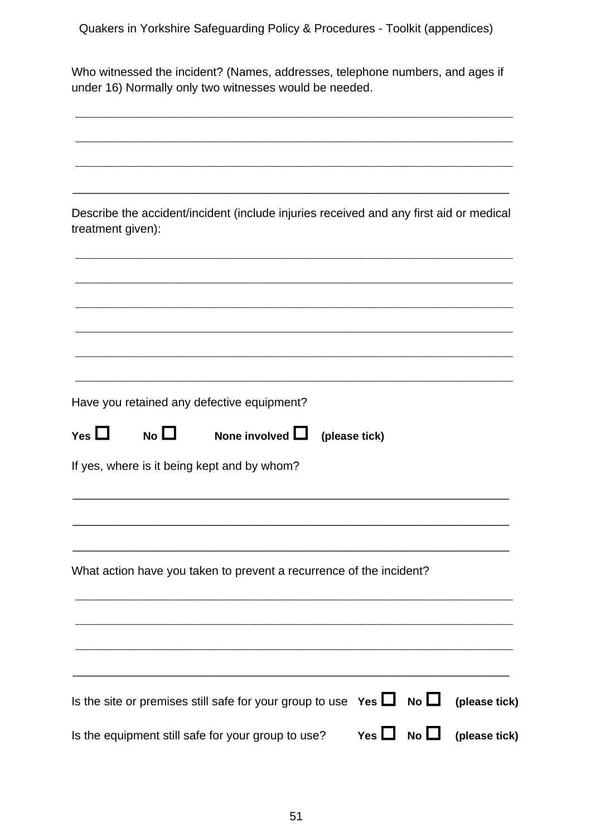Who witnessed the incident? (Names, addresses, telephone numbers, and ages if under 16) Normally only two witnesses would be needed.

| Describe the accident/incident (include injuries received and any first aid or medical<br>treatment given): |                      |               |
|-------------------------------------------------------------------------------------------------------------|----------------------|---------------|
|                                                                                                             |                      |               |
|                                                                                                             |                      |               |
|                                                                                                             |                      |               |
| Have you retained any defective equipment?                                                                  |                      |               |
| No $\Box$<br>Yes $\Box$<br>None involved $\Box$                                                             | (please tick)        |               |
| If yes, where is it being kept and by whom?                                                                 |                      |               |
|                                                                                                             |                      |               |
| What action have you taken to prevent a recurrence of the incident?                                         |                      |               |
|                                                                                                             |                      |               |
|                                                                                                             |                      |               |
|                                                                                                             |                      |               |
| Is the site or premises still safe for your group to use Yes $\Box$ No $\Box$                               |                      | (please tick) |
| Is the equipment still safe for your group to use?                                                          | Yes $\Box$ No $\Box$ | (please tick) |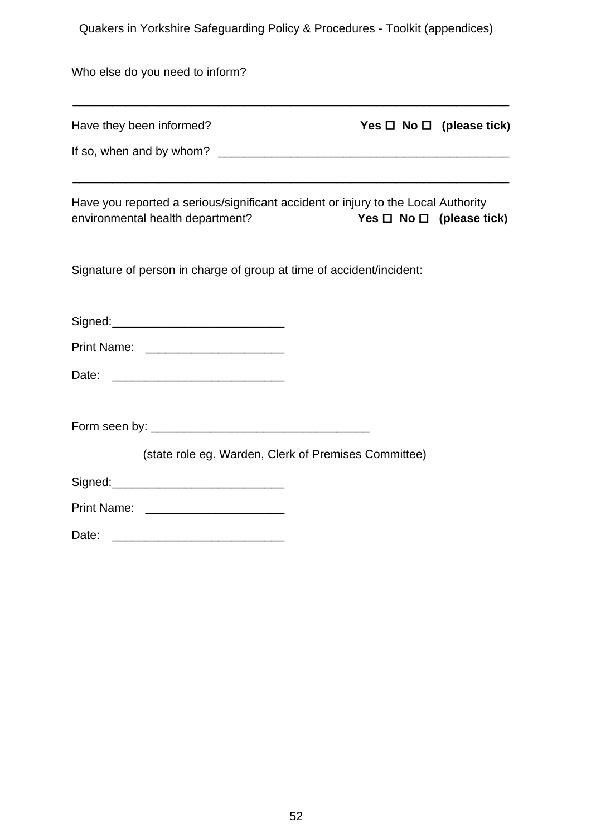| Quakers in Yorkshire Safeguarding Policy & Procedures - Toolkit (appendices)                                          |                                    |  |  |  |
|-----------------------------------------------------------------------------------------------------------------------|------------------------------------|--|--|--|
| Who else do you need to inform?                                                                                       |                                    |  |  |  |
| Have they been informed?                                                                                              | Yes $\Box$ No $\Box$ (please tick) |  |  |  |
|                                                                                                                       |                                    |  |  |  |
| Have you reported a serious/significant accident or injury to the Local Authority<br>environmental health department? | Yes $\Box$ No $\Box$ (please tick) |  |  |  |
| Signature of person in charge of group at time of accident/incident:                                                  |                                    |  |  |  |
|                                                                                                                       |                                    |  |  |  |
|                                                                                                                       |                                    |  |  |  |
|                                                                                                                       |                                    |  |  |  |
| (state role eg. Warden, Clerk of Premises Committee)                                                                  |                                    |  |  |  |
|                                                                                                                       |                                    |  |  |  |
| <b>Print Name:</b><br><u> 1980 - Jan James Barnett, fransk politik (d. 1980)</u>                                      |                                    |  |  |  |
| Date:                                                                                                                 |                                    |  |  |  |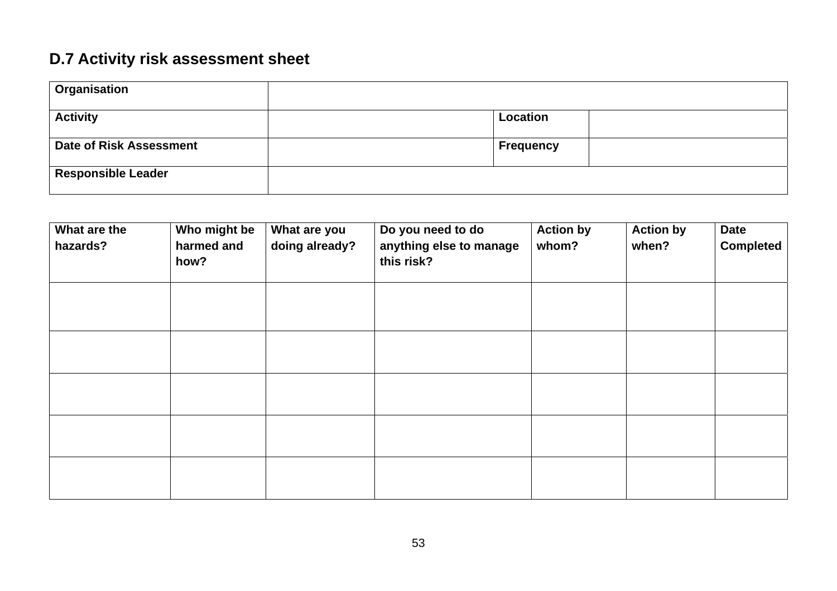# **D.7 Activity risk assessment sheet**

| Organisation                   |           |
|--------------------------------|-----------|
| <b>Activity</b>                | Location  |
| <b>Date of Risk Assessment</b> | Frequency |
| <b>Responsible Leader</b>      |           |

| What are the<br>hazards? | Who might be<br>harmed and<br>how? | What are you<br>doing already? | Do you need to do<br>anything else to manage<br>this risk? | <b>Action by</b><br>whom? | <b>Action by</b><br>when? | <b>Date</b><br><b>Completed</b> |
|--------------------------|------------------------------------|--------------------------------|------------------------------------------------------------|---------------------------|---------------------------|---------------------------------|
|                          |                                    |                                |                                                            |                           |                           |                                 |
|                          |                                    |                                |                                                            |                           |                           |                                 |
|                          |                                    |                                |                                                            |                           |                           |                                 |
|                          |                                    |                                |                                                            |                           |                           |                                 |
|                          |                                    |                                |                                                            |                           |                           |                                 |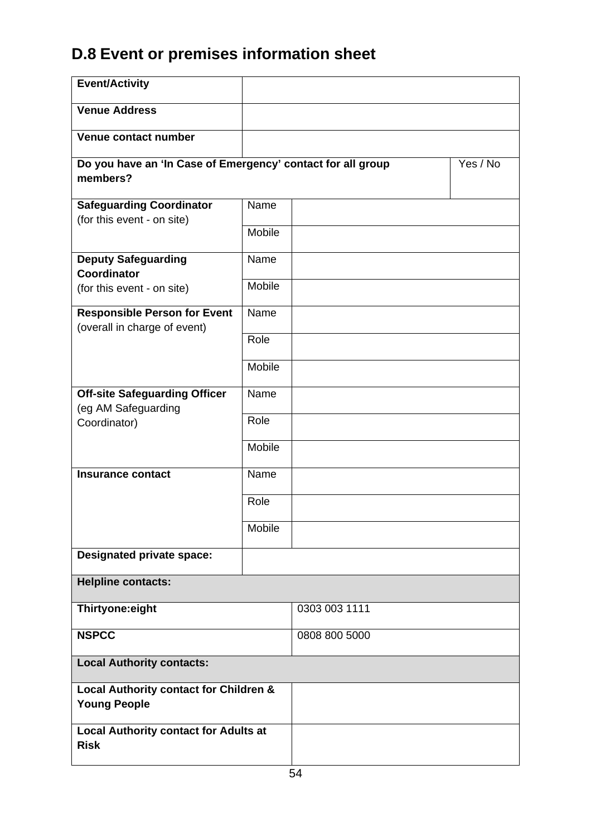# **D.8 Event or premises information sheet**

| <b>Event/Activity</b>                                                   |        |               |          |  |
|-------------------------------------------------------------------------|--------|---------------|----------|--|
| <b>Venue Address</b>                                                    |        |               |          |  |
| Venue contact number                                                    |        |               |          |  |
| Do you have an 'In Case of Emergency' contact for all group<br>members? |        |               | Yes / No |  |
| <b>Safeguarding Coordinator</b><br>(for this event - on site)           | Name   |               |          |  |
|                                                                         | Mobile |               |          |  |
| <b>Deputy Safeguarding</b><br><b>Coordinator</b>                        | Name   |               |          |  |
| (for this event - on site)                                              | Mobile |               |          |  |
| <b>Responsible Person for Event</b><br>(overall in charge of event)     | Name   |               |          |  |
|                                                                         | Role   |               |          |  |
|                                                                         | Mobile |               |          |  |
| <b>Off-site Safeguarding Officer</b><br>(eg AM Safeguarding             | Name   |               |          |  |
| Coordinator)                                                            | Role   |               |          |  |
|                                                                         | Mobile |               |          |  |
| <b>Insurance contact</b>                                                | Name   |               |          |  |
|                                                                         | Role   |               |          |  |
|                                                                         | Mobile |               |          |  |
| <b>Designated private space:</b>                                        |        |               |          |  |
| <b>Helpline contacts:</b>                                               |        |               |          |  |
| Thirtyone:eight                                                         |        | 0303 003 1111 |          |  |
| <b>NSPCC</b>                                                            |        | 0808 800 5000 |          |  |
| <b>Local Authority contacts:</b>                                        |        |               |          |  |
| Local Authority contact for Children &<br><b>Young People</b>           |        |               |          |  |
| <b>Local Authority contact for Adults at</b><br><b>Risk</b>             |        |               |          |  |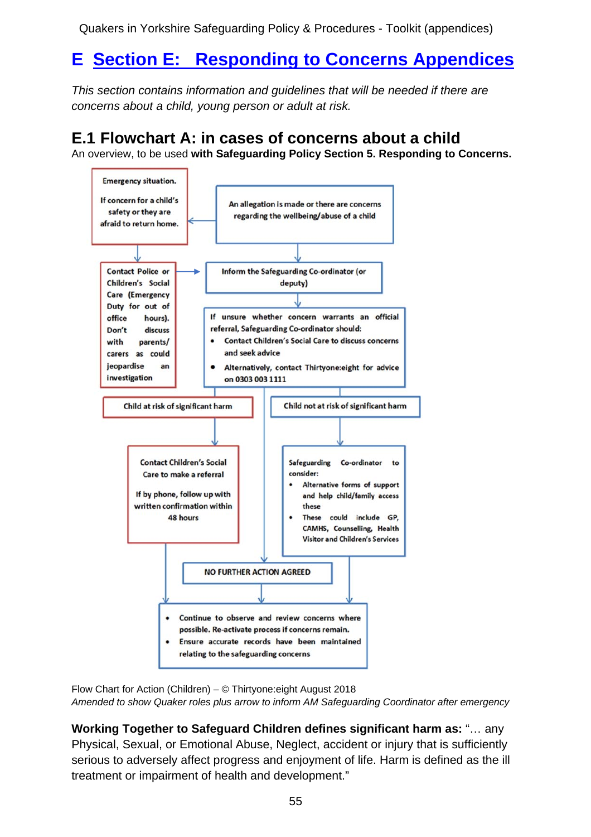# **E Section E: Responding to Concerns Appendices**

*This section contains information and guidelines that will be needed if there are concerns about a child, young person or adult at risk.* 

# **E.1 Flowchart A: in cases of concerns about a child**

An overview, to be used **with Safeguarding Policy Section 5. Responding to Concerns.**



Flow Chart for Action (Children) – © Thirtyone:eight August 2018

*Amended to show Quaker roles plus arrow to inform AM Safeguarding Coordinator after emergency* 

**Working Together to Safeguard Children defines significant harm as:** "… any Physical, Sexual, or Emotional Abuse, Neglect, accident or injury that is sufficiently serious to adversely affect progress and enjoyment of life. Harm is defined as the ill treatment or impairment of health and development."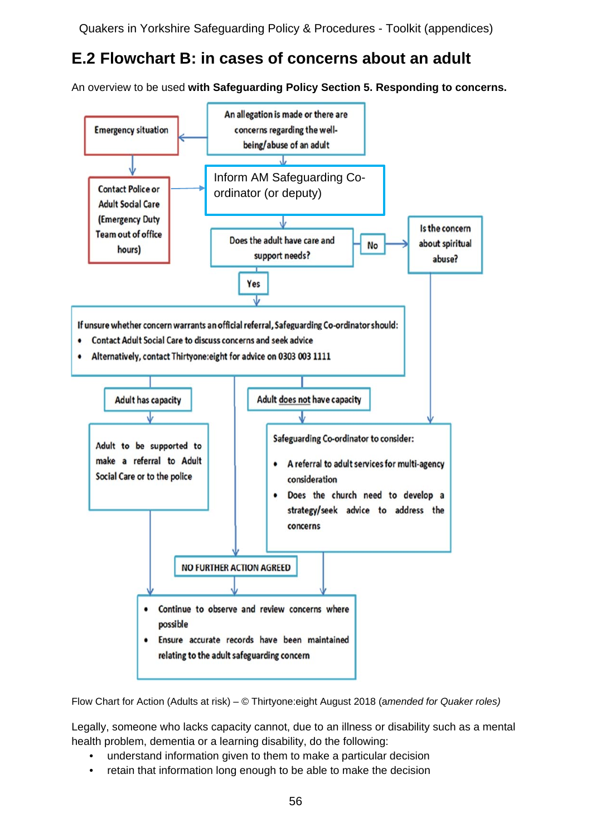# **E.2 Flowchart B: in cases of concerns about an adult**

An overview to be used **with Safeguarding Policy Section 5. Responding to concerns.**



Flow Chart for Action (Adults at risk) – © Thirtyone:eight August 2018 (a*mended for Quaker roles)* 

Legally, someone who lacks capacity cannot, due to an illness or disability such as a mental health problem, dementia or a learning disability, do the following:

- understand information given to them to make a particular decision
- retain that information long enough to be able to make the decision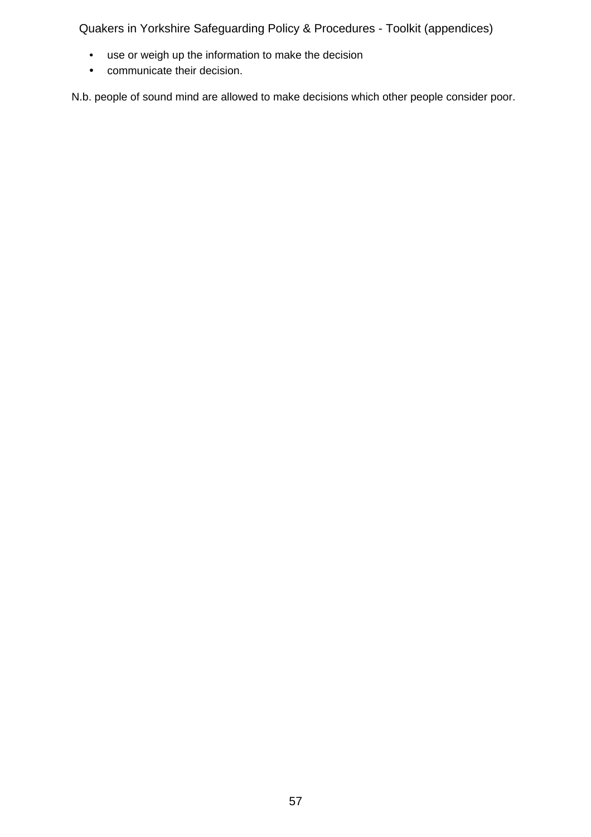- use or weigh up the information to make the decision
- communicate their decision.

N.b. people of sound mind are allowed to make decisions which other people consider poor.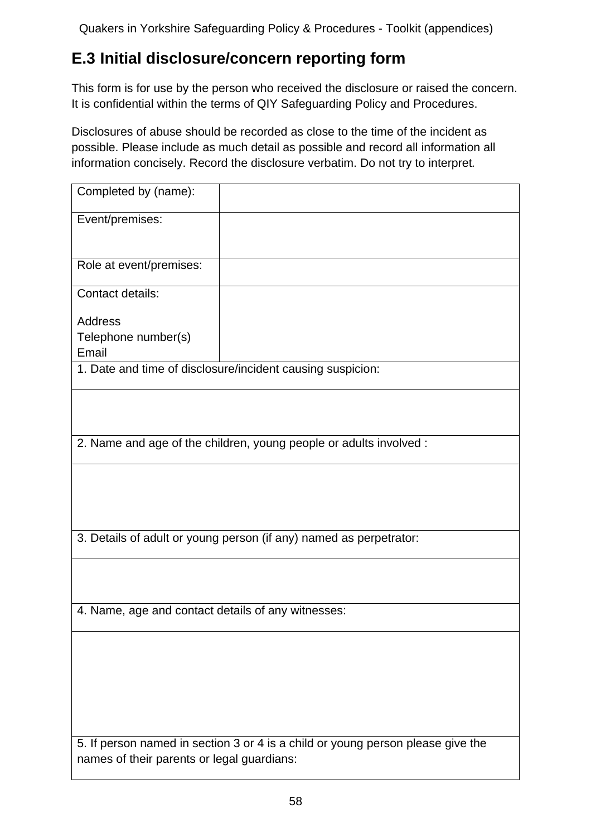# **E.3 Initial disclosure/concern reporting form**

This form is for use by the person who received the disclosure or raised the concern. It is confidential within the terms of QIY Safeguarding Policy and Procedures.

Disclosures of abuse should be recorded as close to the time of the incident as possible. Please include as much detail as possible and record all information all information concisely. Record the disclosure verbatim. Do not try to interpret*.* 

| Completed by (name):                                                            |                                                                    |  |  |  |  |
|---------------------------------------------------------------------------------|--------------------------------------------------------------------|--|--|--|--|
| Event/premises:                                                                 |                                                                    |  |  |  |  |
|                                                                                 |                                                                    |  |  |  |  |
| Role at event/premises:                                                         |                                                                    |  |  |  |  |
| Contact details:                                                                |                                                                    |  |  |  |  |
| <b>Address</b>                                                                  |                                                                    |  |  |  |  |
| Telephone number(s)                                                             |                                                                    |  |  |  |  |
| Email                                                                           | 1. Date and time of disclosure/incident causing suspicion:         |  |  |  |  |
|                                                                                 |                                                                    |  |  |  |  |
|                                                                                 |                                                                    |  |  |  |  |
|                                                                                 |                                                                    |  |  |  |  |
|                                                                                 | 2. Name and age of the children, young people or adults involved : |  |  |  |  |
|                                                                                 |                                                                    |  |  |  |  |
|                                                                                 |                                                                    |  |  |  |  |
|                                                                                 |                                                                    |  |  |  |  |
|                                                                                 | 3. Details of adult or young person (if any) named as perpetrator: |  |  |  |  |
|                                                                                 |                                                                    |  |  |  |  |
|                                                                                 |                                                                    |  |  |  |  |
|                                                                                 |                                                                    |  |  |  |  |
| 4. Name, age and contact details of any witnesses:                              |                                                                    |  |  |  |  |
|                                                                                 |                                                                    |  |  |  |  |
|                                                                                 |                                                                    |  |  |  |  |
|                                                                                 |                                                                    |  |  |  |  |
|                                                                                 |                                                                    |  |  |  |  |
|                                                                                 |                                                                    |  |  |  |  |
| 5. If person named in section 3 or 4 is a child or young person please give the |                                                                    |  |  |  |  |
| names of their parents or legal guardians:                                      |                                                                    |  |  |  |  |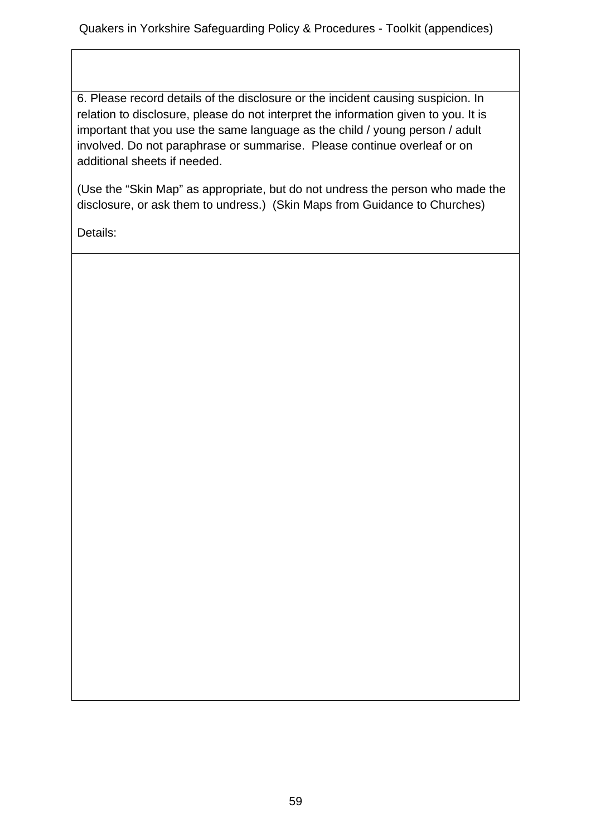6. Please record details of the disclosure or the incident causing suspicion. In relation to disclosure, please do not interpret the information given to you. It is important that you use the same language as the child / young person / adult involved. Do not paraphrase or summarise. Please continue overleaf or on additional sheets if needed.

(Use the "Skin Map" as appropriate, but do not undress the person who made the disclosure, or ask them to undress.) (Skin Maps from Guidance to Churches)

Details: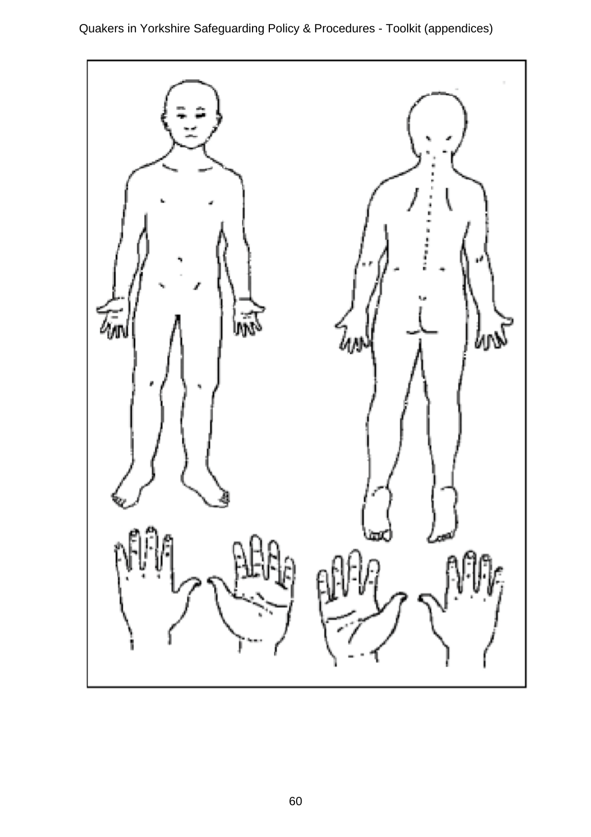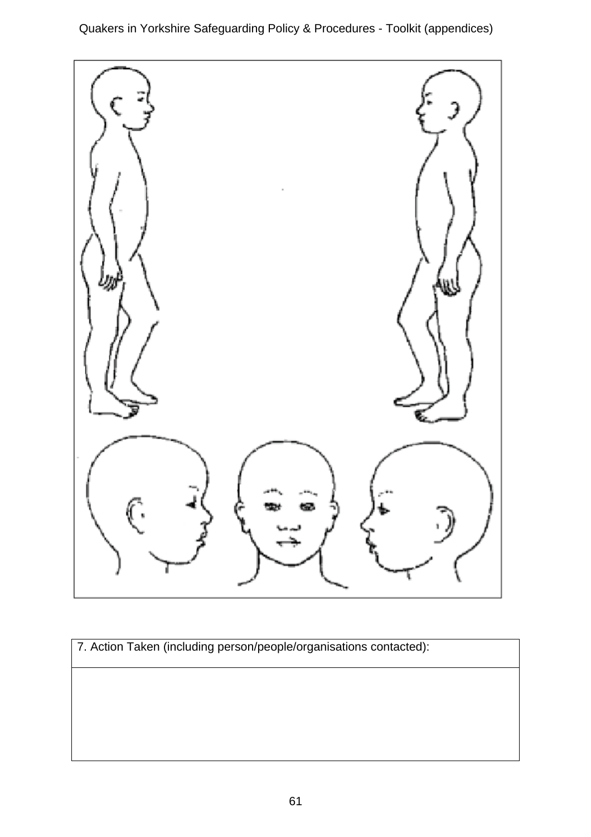

7. Action Taken (including person/people/organisations contacted):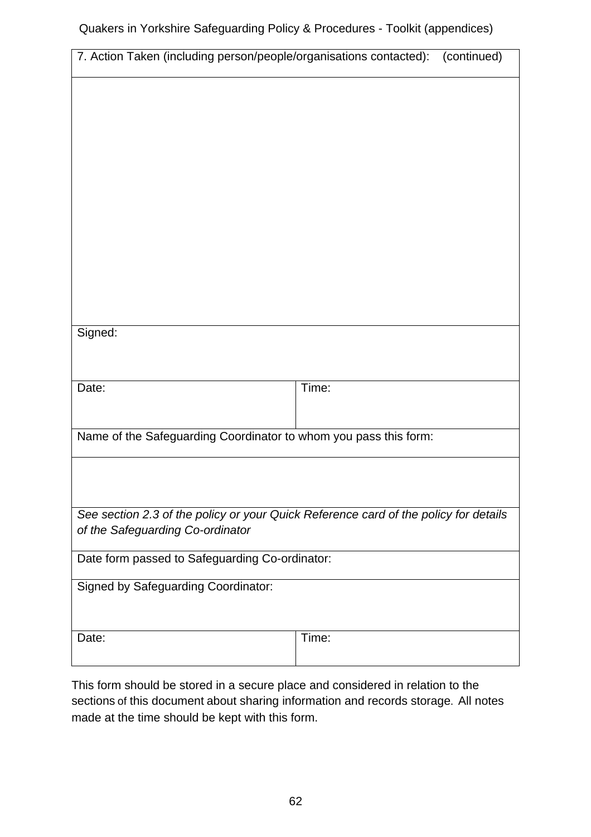| 7. Action Taken (including person/people/organisations contacted):<br>(continued)                                        |                                                                  |       |  |  |  |
|--------------------------------------------------------------------------------------------------------------------------|------------------------------------------------------------------|-------|--|--|--|
|                                                                                                                          |                                                                  |       |  |  |  |
|                                                                                                                          |                                                                  |       |  |  |  |
|                                                                                                                          |                                                                  |       |  |  |  |
|                                                                                                                          |                                                                  |       |  |  |  |
|                                                                                                                          |                                                                  |       |  |  |  |
|                                                                                                                          |                                                                  |       |  |  |  |
|                                                                                                                          |                                                                  |       |  |  |  |
|                                                                                                                          |                                                                  |       |  |  |  |
|                                                                                                                          |                                                                  |       |  |  |  |
|                                                                                                                          |                                                                  |       |  |  |  |
| Signed:                                                                                                                  |                                                                  |       |  |  |  |
|                                                                                                                          |                                                                  |       |  |  |  |
| Date:                                                                                                                    |                                                                  | Time: |  |  |  |
|                                                                                                                          |                                                                  |       |  |  |  |
|                                                                                                                          | Name of the Safeguarding Coordinator to whom you pass this form: |       |  |  |  |
|                                                                                                                          |                                                                  |       |  |  |  |
|                                                                                                                          |                                                                  |       |  |  |  |
| See section 2.3 of the policy or your Quick Reference card of the policy for details<br>of the Safeguarding Co-ordinator |                                                                  |       |  |  |  |
| Date form passed to Safeguarding Co-ordinator:                                                                           |                                                                  |       |  |  |  |
| <b>Signed by Safeguarding Coordinator:</b>                                                                               |                                                                  |       |  |  |  |
|                                                                                                                          |                                                                  |       |  |  |  |
| Date:                                                                                                                    |                                                                  | Time: |  |  |  |
|                                                                                                                          |                                                                  |       |  |  |  |

This form should be stored in a secure place and considered in relation to the sections of this document about sharing information and records storage. All notes made at the time should be kept with this form.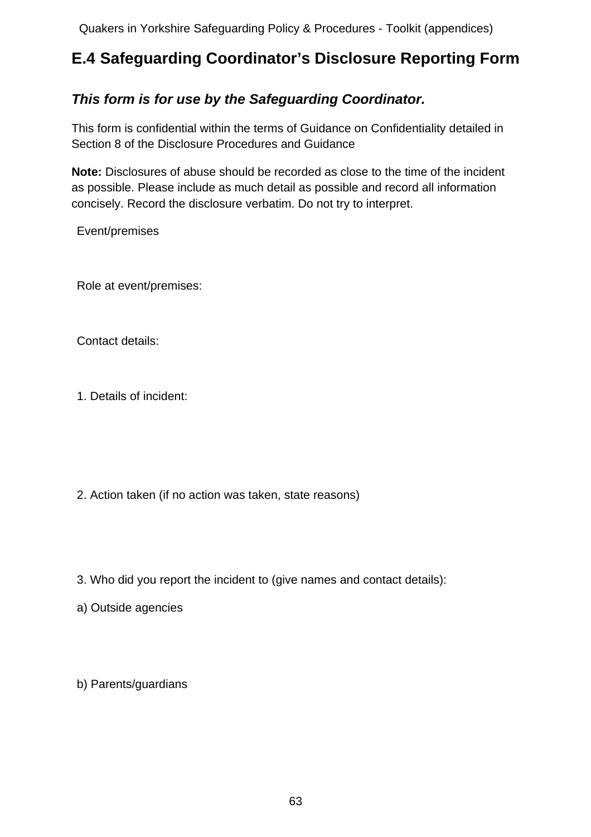# **E.4 Safeguarding Coordinator's Disclosure Reporting Form**

# *This form is for use by the Safeguarding Coordinator.*

This form is confidential within the terms of Guidance on Confidentiality detailed in Section 8 of the Disclosure Procedures and Guidance

**Note:** Disclosures of abuse should be recorded as close to the time of the incident as possible. Please include as much detail as possible and record all information concisely. Record the disclosure verbatim. Do not try to interpret.

Event/premises

Role at event/premises:

Contact details:

1. Details of incident:

2. Action taken (if no action was taken, state reasons)

3. Who did you report the incident to (give names and contact details):

a) Outside agencies

b) Parents/guardians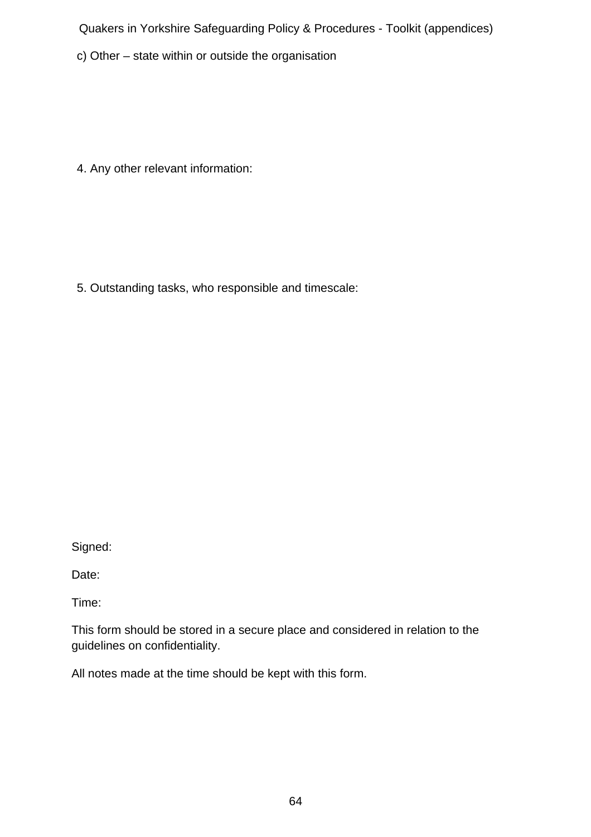c) Other – state within or outside the organisation

4. Any other relevant information:

5. Outstanding tasks, who responsible and timescale:

Signed:

Date:

Time:

This form should be stored in a secure place and considered in relation to the guidelines on confidentiality.

All notes made at the time should be kept with this form.